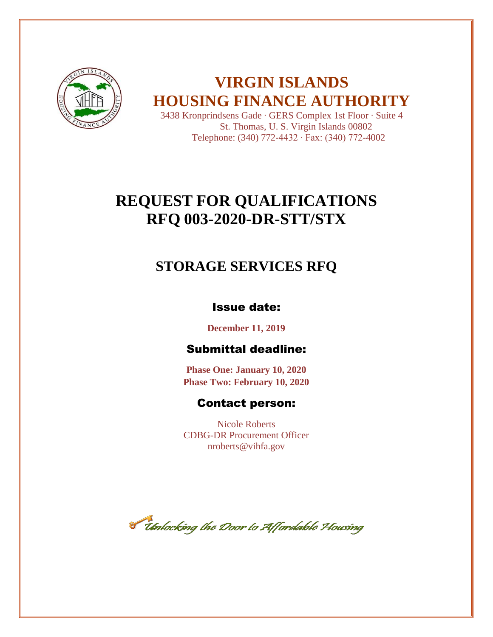

# **VIRGIN ISLANDS HOUSING FINANCE AUTHORITY**

3438 Kronprindsens Gade ∙ GERS Complex 1st Floor ∙ Suite 4 St. Thomas, U. S. Virgin Islands 00802 Telephone: (340) 772-4432 ∙ Fax: (340) 772-4002

# **REQUEST FOR QUALIFICATIONS RFQ 003-2020-DR-STT/STX**

## **STORAGE SERVICES RFQ**

## Issue date:

**December 11, 2019**

## Submittal deadline:

**Phase One: January 10, 2020 Phase Two: February 10, 2020**

## Contact person:

Nicole Roberts CDBG-DR Procurement Officer nroberts@vihfa.gov

Tholocking the Door to Affordable Housing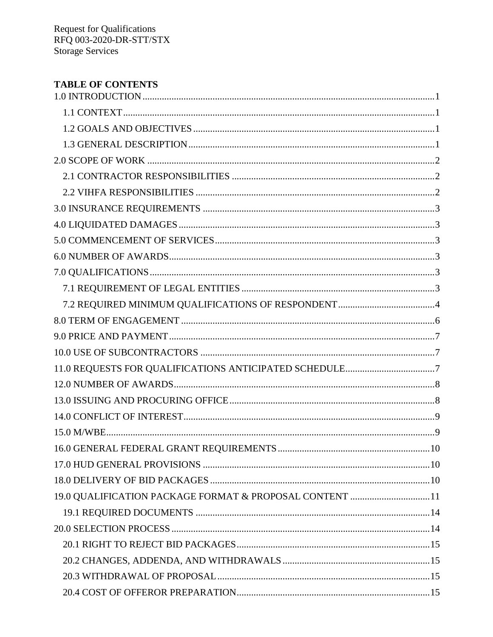| <b>TABLE OF CONTENTS</b>                                |  |
|---------------------------------------------------------|--|
|                                                         |  |
|                                                         |  |
|                                                         |  |
|                                                         |  |
|                                                         |  |
|                                                         |  |
|                                                         |  |
|                                                         |  |
|                                                         |  |
|                                                         |  |
|                                                         |  |
|                                                         |  |
|                                                         |  |
|                                                         |  |
|                                                         |  |
|                                                         |  |
|                                                         |  |
|                                                         |  |
|                                                         |  |
|                                                         |  |
|                                                         |  |
|                                                         |  |
|                                                         |  |
|                                                         |  |
|                                                         |  |
| 19.0 QUALIFICATION PACKAGE FORMAT & PROPOSAL CONTENT 11 |  |
|                                                         |  |
|                                                         |  |
|                                                         |  |
|                                                         |  |
|                                                         |  |
|                                                         |  |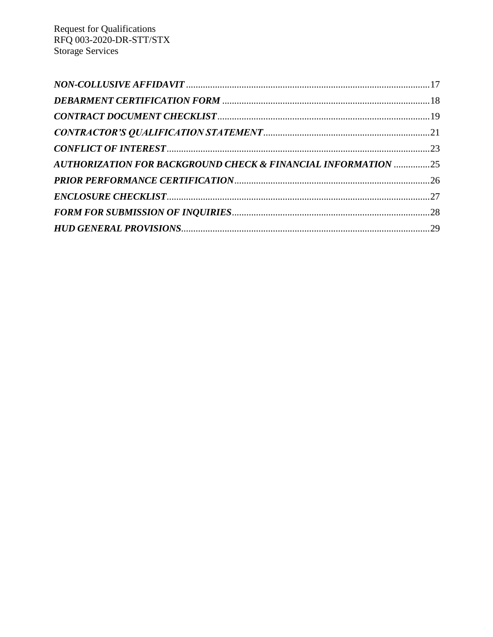| <b>AUTHORIZATION FOR BACKGROUND CHECK &amp; FINANCIAL INFORMATION 25</b> |  |
|--------------------------------------------------------------------------|--|
|                                                                          |  |
|                                                                          |  |
|                                                                          |  |
|                                                                          |  |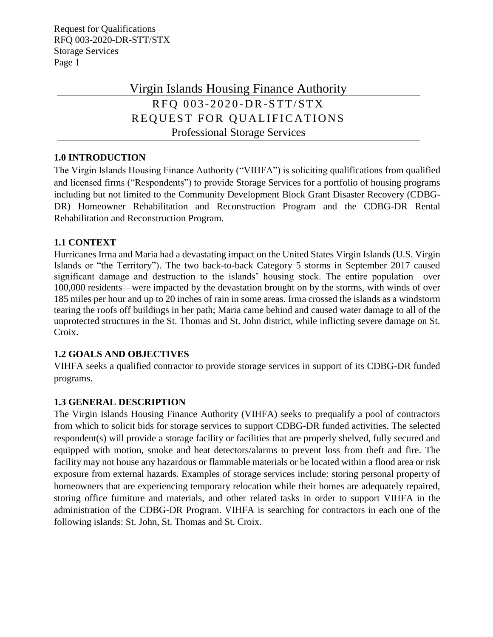## Virgin Islands Housing Finance Authority RFO 003-2020-DR-STT/STX REQUEST FOR QUALIFICATIONS Professional Storage Services

## <span id="page-3-0"></span>**1.0 INTRODUCTION**

The Virgin Islands Housing Finance Authority ("VIHFA") is soliciting qualifications from qualified and licensed firms ("Respondents") to provide Storage Services for a portfolio of housing programs including but not limited to the Community Development Block Grant Disaster Recovery (CDBG-DR) Homeowner Rehabilitation and Reconstruction Program and the CDBG-DR Rental Rehabilitation and Reconstruction Program.

## <span id="page-3-1"></span>**1.1 CONTEXT**

Hurricanes Irma and Maria had a devastating impact on the United States Virgin Islands (U.S. Virgin Islands or "the Territory"). The two back-to-back Category 5 storms in September 2017 caused significant damage and destruction to the islands' housing stock. The entire population—over 100,000 residents—were impacted by the devastation brought on by the storms, with winds of over 185 miles per hour and up to 20 inches of rain in some areas. Irma crossed the islands as a windstorm tearing the roofs off buildings in her path; Maria came behind and caused water damage to all of the unprotected structures in the St. Thomas and St. John district, while inflicting severe damage on St. Croix.

## <span id="page-3-2"></span>**1.2 GOALS AND OBJECTIVES**

VIHFA seeks a qualified contractor to provide storage services in support of its CDBG-DR funded programs.

## <span id="page-3-3"></span>**1.3 GENERAL DESCRIPTION**

The Virgin Islands Housing Finance Authority (VIHFA) seeks to prequalify a pool of contractors from which to solicit bids for storage services to support CDBG-DR funded activities. The selected respondent(s) will provide a storage facility or facilities that are properly shelved, fully secured and equipped with motion, smoke and heat detectors/alarms to prevent loss from theft and fire. The facility may not house any hazardous or flammable materials or be located within a flood area or risk exposure from external hazards. Examples of storage services include: storing personal property of homeowners that are experiencing temporary relocation while their homes are adequately repaired, storing office furniture and materials, and other related tasks in order to support VIHFA in the administration of the CDBG-DR Program. VIHFA is searching for contractors in each one of the following islands: St. John, St. Thomas and St. Croix.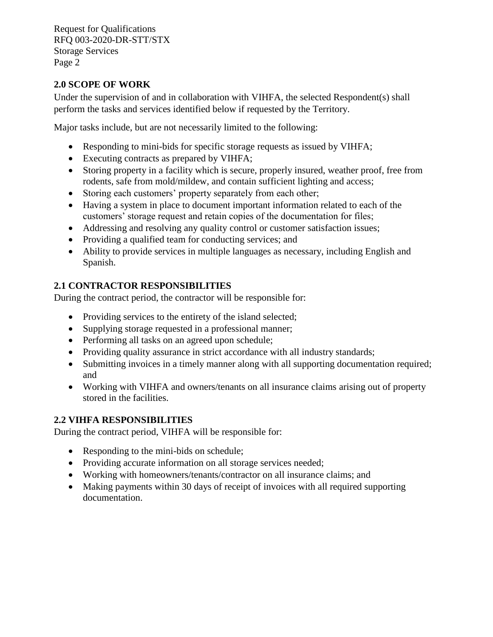## <span id="page-4-0"></span>**2.0 SCOPE OF WORK**

Under the supervision of and in collaboration with VIHFA, the selected Respondent(s) shall perform the tasks and services identified below if requested by the Territory.

Major tasks include, but are not necessarily limited to the following:

- Responding to mini-bids for specific storage requests as issued by VIHFA;
- Executing contracts as prepared by VIHFA;
- Storing property in a facility which is secure, properly insured, weather proof, free from rodents, safe from mold/mildew, and contain sufficient lighting and access;
- Storing each customers' property separately from each other;
- Having a system in place to document important information related to each of the customers' storage request and retain copies of the documentation for files;
- Addressing and resolving any quality control or customer satisfaction issues;
- Providing a qualified team for conducting services; and
- Ability to provide services in multiple languages as necessary, including English and Spanish.

## <span id="page-4-1"></span>**2.1 CONTRACTOR RESPONSIBILITIES**

During the contract period, the contractor will be responsible for:

- Providing services to the entirety of the island selected;
- Supplying storage requested in a professional manner;
- Performing all tasks on an agreed upon schedule;
- Providing quality assurance in strict accordance with all industry standards;
- Submitting invoices in a timely manner along with all supporting documentation required; and
- Working with VIHFA and owners/tenants on all insurance claims arising out of property stored in the facilities.

## <span id="page-4-2"></span>**2.2 VIHFA RESPONSIBILITIES**

During the contract period, VIHFA will be responsible for:

- Responding to the mini-bids on schedule;
- Providing accurate information on all storage services needed;
- Working with homeowners/tenants/contractor on all insurance claims; and
- Making payments within 30 days of receipt of invoices with all required supporting documentation.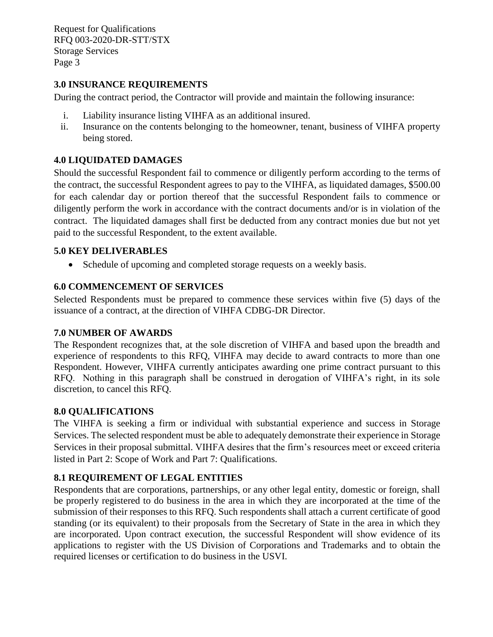## <span id="page-5-0"></span>**3.0 INSURANCE REQUIREMENTS**

During the contract period, the Contractor will provide and maintain the following insurance:

- i. Liability insurance listing VIHFA as an additional insured.
- ii. Insurance on the contents belonging to the homeowner, tenant, business of VIHFA property being stored.

## <span id="page-5-1"></span>**4.0 LIQUIDATED DAMAGES**

Should the successful Respondent fail to commence or diligently perform according to the terms of the contract, the successful Respondent agrees to pay to the VIHFA, as liquidated damages, \$500.00 for each calendar day or portion thereof that the successful Respondent fails to commence or diligently perform the work in accordance with the contract documents and/or is in violation of the contract. The liquidated damages shall first be deducted from any contract monies due but not yet paid to the successful Respondent, to the extent available.

## <span id="page-5-2"></span>**5.0 KEY DELIVERABLES**

• Schedule of upcoming and completed storage requests on a weekly basis.

## **6.0 COMMENCEMENT OF SERVICES**

Selected Respondents must be prepared to commence these services within five (5) days of the issuance of a contract, at the direction of VIHFA CDBG-DR Director.

## <span id="page-5-3"></span>**7.0 NUMBER OF AWARDS**

The Respondent recognizes that, at the sole discretion of VIHFA and based upon the breadth and experience of respondents to this RFQ, VIHFA may decide to award contracts to more than one Respondent. However, VIHFA currently anticipates awarding one prime contract pursuant to this RFQ. Nothing in this paragraph shall be construed in derogation of VIHFA's right, in its sole discretion, to cancel this RFQ.

## <span id="page-5-4"></span>**8.0 QUALIFICATIONS**

The VIHFA is seeking a firm or individual with substantial experience and success in Storage Services. The selected respondent must be able to adequately demonstrate their experience in Storage Services in their proposal submittal. VIHFA desires that the firm's resources meet or exceed criteria listed in Part 2: Scope of Work and Part 7: Qualifications.

## <span id="page-5-5"></span>**8.1 REQUIREMENT OF LEGAL ENTITIES**

Respondents that are corporations, partnerships, or any other legal entity, domestic or foreign, shall be properly registered to do business in the area in which they are incorporated at the time of the submission of their responses to this RFQ. Such respondents shall attach a current certificate of good standing (or its equivalent) to their proposals from the Secretary of State in the area in which they are incorporated. Upon contract execution, the successful Respondent will show evidence of its applications to register with the US Division of Corporations and Trademarks and to obtain the required licenses or certification to do business in the USVI.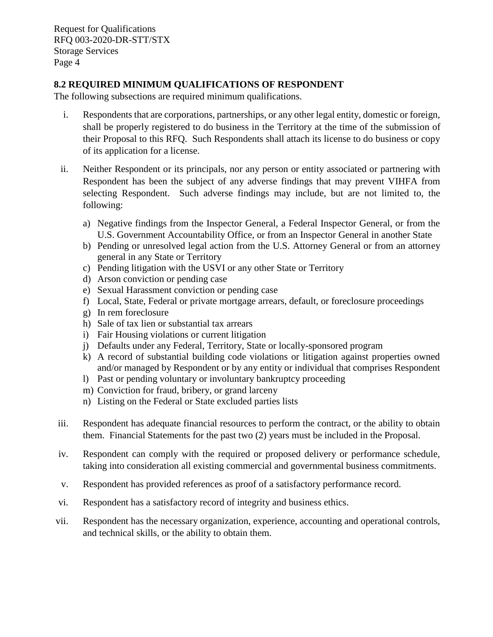## <span id="page-6-0"></span>**8.2 REQUIRED MINIMUM QUALIFICATIONS OF RESPONDENT**

The following subsections are required minimum qualifications.

- i. Respondents that are corporations, partnerships, or any other legal entity, domestic or foreign, shall be properly registered to do business in the Territory at the time of the submission of their Proposal to this RFQ. Such Respondents shall attach its license to do business or copy of its application for a license.
- ii. Neither Respondent or its principals, nor any person or entity associated or partnering with Respondent has been the subject of any adverse findings that may prevent VIHFA from selecting Respondent. Such adverse findings may include, but are not limited to, the following:
	- a) Negative findings from the Inspector General, a Federal Inspector General, or from the U.S. Government Accountability Office, or from an Inspector General in another State
	- b) Pending or unresolved legal action from the U.S. Attorney General or from an attorney general in any State or Territory
	- c) Pending litigation with the USVI or any other State or Territory
	- d) Arson conviction or pending case
	- e) Sexual Harassment conviction or pending case
	- f) Local, State, Federal or private mortgage arrears, default, or foreclosure proceedings
	- g) In rem foreclosure
	- h) Sale of tax lien or substantial tax arrears
	- i) Fair Housing violations or current litigation
	- j) Defaults under any Federal, Territory, State or locally-sponsored program
	- k) A record of substantial building code violations or litigation against properties owned and/or managed by Respondent or by any entity or individual that comprises Respondent
	- l) Past or pending voluntary or involuntary bankruptcy proceeding
	- m) Conviction for fraud, bribery, or grand larceny
	- n) Listing on the Federal or State excluded parties lists
- iii. Respondent has adequate financial resources to perform the contract, or the ability to obtain them. Financial Statements for the past two (2) years must be included in the Proposal.
- iv. Respondent can comply with the required or proposed delivery or performance schedule, taking into consideration all existing commercial and governmental business commitments.
- v. Respondent has provided references as proof of a satisfactory performance record.
- vi. Respondent has a satisfactory record of integrity and business ethics.
- vii. Respondent has the necessary organization, experience, accounting and operational controls, and technical skills, or the ability to obtain them.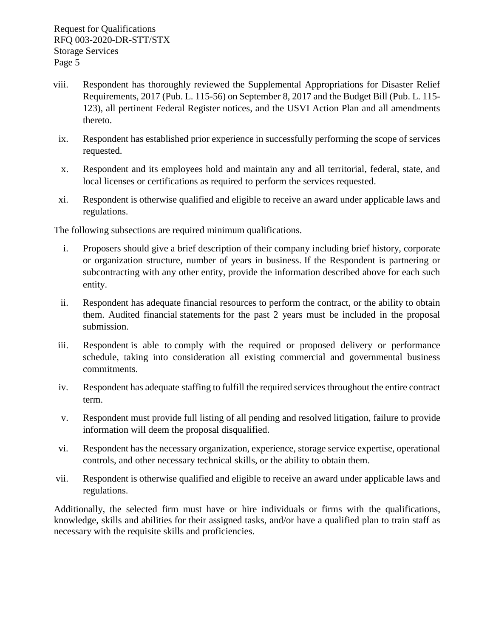- viii. Respondent has thoroughly reviewed the Supplemental Appropriations for Disaster Relief Requirements, 2017 (Pub. L. 115-56) on September 8, 2017 and the Budget Bill (Pub. L. 115- 123), all pertinent Federal Register notices, and the USVI Action Plan and all amendments thereto.
- ix. Respondent has established prior experience in successfully performing the scope of services requested.
- x. Respondent and its employees hold and maintain any and all territorial, federal, state, and local licenses or certifications as required to perform the services requested.
- xi. Respondent is otherwise qualified and eligible to receive an award under applicable laws and regulations.

The following subsections are required minimum qualifications.

- i. Proposers should give a brief description of their company including brief history, corporate or organization structure, number of years in business. If the Respondent is partnering or subcontracting with any other entity, provide the information described above for each such entity.
- ii. Respondent has adequate financial resources to perform the contract, or the ability to obtain them. Audited financial statements for the past 2 years must be included in the proposal submission.
- iii. Respondent is able to comply with the required or proposed delivery or performance schedule, taking into consideration all existing commercial and governmental business commitments.
- iv. Respondent has adequate staffing to fulfill the required services throughout the entire contract term.
- v. Respondent must provide full listing of all pending and resolved litigation, failure to provide information will deem the proposal disqualified.
- vi. Respondent has the necessary organization, experience, storage service expertise, operational controls, and other necessary technical skills, or the ability to obtain them.
- vii. Respondent is otherwise qualified and eligible to receive an award under applicable laws and regulations.

Additionally, the selected firm must have or hire individuals or firms with the qualifications, knowledge, skills and abilities for their assigned tasks, and/or have a qualified plan to train staff as necessary with the requisite skills and proficiencies.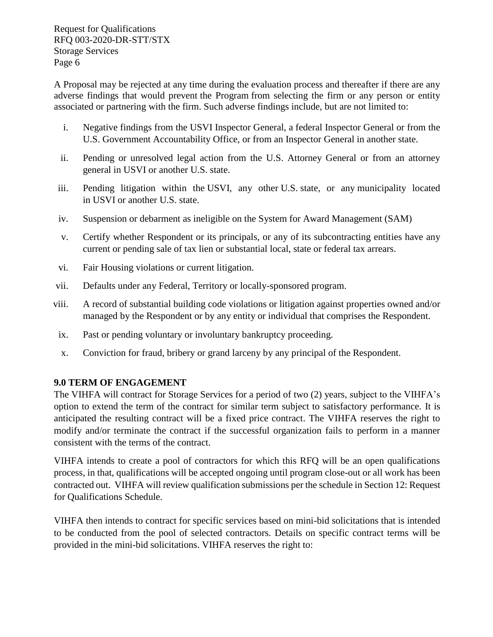A Proposal may be rejected at any time during the evaluation process and thereafter if there are any adverse findings that would prevent the Program from selecting the firm or any person or entity associated or partnering with the firm. Such adverse findings include, but are not limited to:

- i. Negative findings from the USVI Inspector General, a federal Inspector General or from the U.S. Government Accountability Office, or from an Inspector General in another state.
- ii. Pending or unresolved legal action from the U.S. Attorney General or from an attorney general in USVI or another U.S. state.
- iii. Pending litigation within the USVI, any other U.S. state, or any municipality located in USVI or another U.S. state.
- iv. Suspension or debarment as ineligible on the System for Award Management (SAM)
- v. Certify whether Respondent or its principals, or any of its subcontracting entities have any current or pending sale of tax lien or substantial local, state or federal tax arrears.
- vi. Fair Housing violations or current litigation.
- vii. Defaults under any Federal, Territory or locally-sponsored program.
- viii. A record of substantial building code violations or litigation against properties owned and/or managed by the Respondent or by any entity or individual that comprises the Respondent.
- ix. Past or pending voluntary or involuntary bankruptcy proceeding.
- x. Conviction for fraud, bribery or grand larceny by any principal of the Respondent.

## <span id="page-8-0"></span>**9.0 TERM OF ENGAGEMENT**

The VIHFA will contract for Storage Services for a period of two (2) years, subject to the VIHFA's option to extend the term of the contract for similar term subject to satisfactory performance. It is anticipated the resulting contract will be a fixed price contract. The VIHFA reserves the right to modify and/or terminate the contract if the successful organization fails to perform in a manner consistent with the terms of the contract.

VIHFA intends to create a pool of contractors for which this RFQ will be an open qualifications process, in that, qualifications will be accepted ongoing until program close-out or all work has been contracted out. VIHFA will review qualification submissions per the schedule in Section 12: Request for Qualifications Schedule.

VIHFA then intends to contract for specific services based on mini-bid solicitations that is intended to be conducted from the pool of selected contractors. Details on specific contract terms will be provided in the mini-bid solicitations. VIHFA reserves the right to: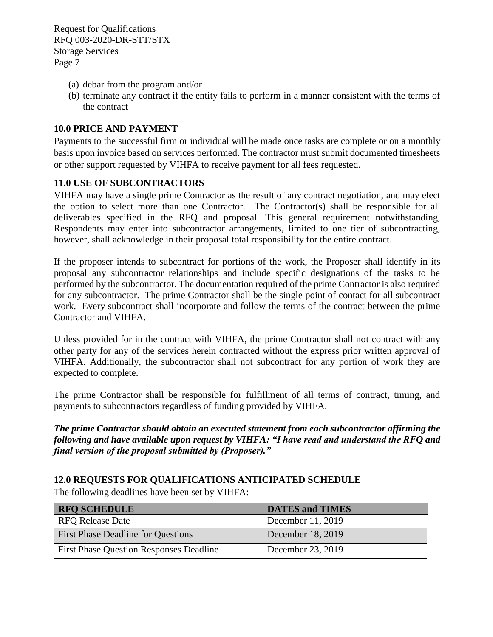- (a) debar from the program and/or
- (b) terminate any contract if the entity fails to perform in a manner consistent with the terms of the contract

### <span id="page-9-0"></span>**10.0 PRICE AND PAYMENT**

Payments to the successful firm or individual will be made once tasks are complete or on a monthly basis upon invoice based on services performed. The contractor must submit documented timesheets or other support requested by VIHFA to receive payment for all fees requested.

#### <span id="page-9-1"></span>**11.0 USE OF SUBCONTRACTORS**

VIHFA may have a single prime Contractor as the result of any contract negotiation, and may elect the option to select more than one Contractor. The Contractor(s) shall be responsible for all deliverables specified in the RFQ and proposal. This general requirement notwithstanding, Respondents may enter into subcontractor arrangements, limited to one tier of subcontracting, however, shall acknowledge in their proposal total responsibility for the entire contract.

If the proposer intends to subcontract for portions of the work, the Proposer shall identify in its proposal any subcontractor relationships and include specific designations of the tasks to be performed by the subcontractor. The documentation required of the prime Contractor is also required for any subcontractor. The prime Contractor shall be the single point of contact for all subcontract work. Every subcontract shall incorporate and follow the terms of the contract between the prime Contractor and VIHFA.

Unless provided for in the contract with VIHFA, the prime Contractor shall not contract with any other party for any of the services herein contracted without the express prior written approval of VIHFA. Additionally, the subcontractor shall not subcontract for any portion of work they are expected to complete.

The prime Contractor shall be responsible for fulfillment of all terms of contract, timing, and payments to subcontractors regardless of funding provided by VIHFA.

*The prime Contractor should obtain an executed statement from each subcontractor affirming the following and have available upon request by VIHFA: "I have read and understand the RFQ and final version of the proposal submitted by (Proposer)."*

## <span id="page-9-2"></span>**12.0 REQUESTS FOR QUALIFICATIONS ANTICIPATED SCHEDULE**

The following deadlines have been set by VIHFA:

| <b>RFQ SCHEDULE</b>                            | <b>DATES and TIMES</b> |
|------------------------------------------------|------------------------|
| <b>RFO Release Date</b>                        | December 11, 2019      |
| <b>First Phase Deadline for Questions</b>      | December 18, 2019      |
| <b>First Phase Question Responses Deadline</b> | December 23, 2019      |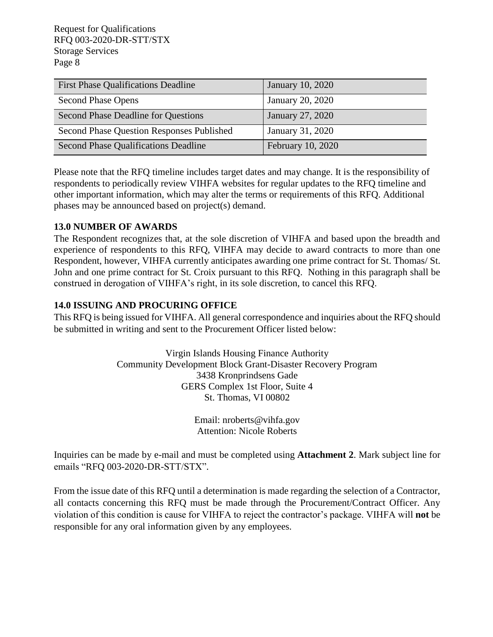| <b>First Phase Qualifications Deadline</b> | <b>January 10, 2020</b> |
|--------------------------------------------|-------------------------|
| <b>Second Phase Opens</b>                  | January 20, 2020        |
| Second Phase Deadline for Questions        | January 27, 2020        |
| Second Phase Question Responses Published  | January 31, 2020        |
| Second Phase Qualifications Deadline       | February 10, 2020       |

Please note that the RFQ timeline includes target dates and may change. It is the responsibility of respondents to periodically review VIHFA websites for regular updates to the RFQ timeline and other important information, which may alter the terms or requirements of this RFQ. Additional phases may be announced based on project(s) demand.

## <span id="page-10-0"></span>**13.0 NUMBER OF AWARDS**

The Respondent recognizes that, at the sole discretion of VIHFA and based upon the breadth and experience of respondents to this RFQ, VIHFA may decide to award contracts to more than one Respondent, however, VIHFA currently anticipates awarding one prime contract for St. Thomas/ St. John and one prime contract for St. Croix pursuant to this RFQ. Nothing in this paragraph shall be construed in derogation of VIHFA's right, in its sole discretion, to cancel this RFQ.

## <span id="page-10-1"></span>**14.0 ISSUING AND PROCURING OFFICE**

This RFQ is being issued for VIHFA. All general correspondence and inquiries about the RFQ should be submitted in writing and sent to the Procurement Officer listed below:

> Virgin Islands Housing Finance Authority Community Development Block Grant-Disaster Recovery Program 3438 Kronprindsens Gade GERS Complex 1st Floor, Suite 4 St. Thomas, VI 00802

> > Email: nroberts@vihfa.gov Attention: Nicole Roberts

Inquiries can be made by e-mail and must be completed using **Attachment 2**. Mark subject line for emails "RFQ 003-2020-DR-STT/STX".

From the issue date of this RFQ until a determination is made regarding the selection of a Contractor, all contacts concerning this RFQ must be made through the Procurement/Contract Officer. Any violation of this condition is cause for VIHFA to reject the contractor's package. VIHFA will **not** be responsible for any oral information given by any employees.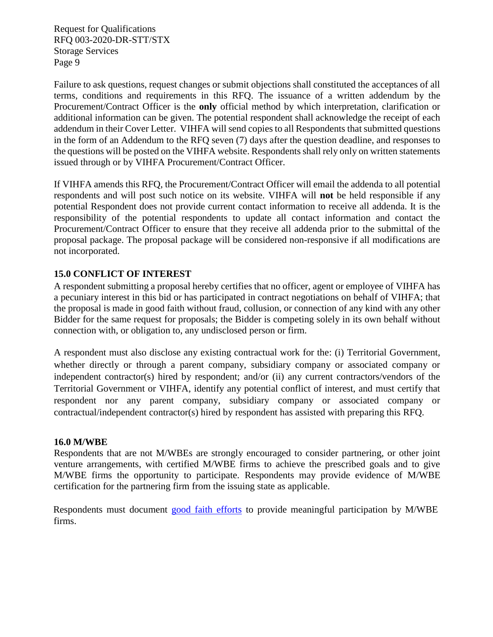Failure to ask questions, request changes or submit objections shall constituted the acceptances of all terms, conditions and requirements in this RFQ. The issuance of a written addendum by the Procurement/Contract Officer is the **only** official method by which interpretation, clarification or additional information can be given. The potential respondent shall acknowledge the receipt of each addendum in their Cover Letter. VIHFA will send copies to all Respondents that submitted questions in the form of an Addendum to the RFQ seven (7) days after the question deadline, and responses to the questions will be posted on the VIHFA website. Respondents shall rely only on written statements issued through or by VIHFA Procurement/Contract Officer.

If VIHFA amends this RFQ, the Procurement/Contract Officer will email the addenda to all potential respondents and will post such notice on its website. VIHFA will **not** be held responsible if any potential Respondent does not provide current contact information to receive all addenda. It is the responsibility of the potential respondents to update all contact information and contact the Procurement/Contract Officer to ensure that they receive all addenda prior to the submittal of the proposal package. The proposal package will be considered non-responsive if all modifications are not incorporated.

## <span id="page-11-0"></span>**15.0 CONFLICT OF INTEREST**

A respondent submitting a proposal hereby certifies that no officer, agent or employee of VIHFA has a pecuniary interest in this bid or has participated in contract negotiations on behalf of VIHFA; that the proposal is made in good faith without fraud, collusion, or connection of any kind with any other Bidder for the same request for proposals; the Bidder is competing solely in its own behalf without connection with, or obligation to, any undisclosed person or firm.

A respondent must also disclose any existing contractual work for the: (i) Territorial Government, whether directly or through a parent company, subsidiary company or associated company or independent contractor(s) hired by respondent; and/or (ii) any current contractors/vendors of the Territorial Government or VIHFA, identify any potential conflict of interest, and must certify that respondent nor any parent company, subsidiary company or associated company or contractual/independent contractor(s) hired by respondent has assisted with preparing this RFQ.

## <span id="page-11-1"></span>**16.0 M/WBE**

Respondents that are not M/WBEs are strongly encouraged to consider partnering, or other joint venture arrangements, with certified M/WBE firms to achieve the prescribed goals and to give M/WBE firms the opportunity to participate. Respondents may provide evidence of M/WBE certification for the partnering firm from the issuing state as applicable.

Respondents must document [good faith efforts](http://www.ogs.ny.gov/BU/DC/Docs/PDF/GoodFaithEfforts143Point8.pdf) [t](http://www.ogs.ny.gov/BU/DC/Docs/PDF/GoodFaithEfforts143Point8.pdf)o provide meaningful participation by M/WBE firms.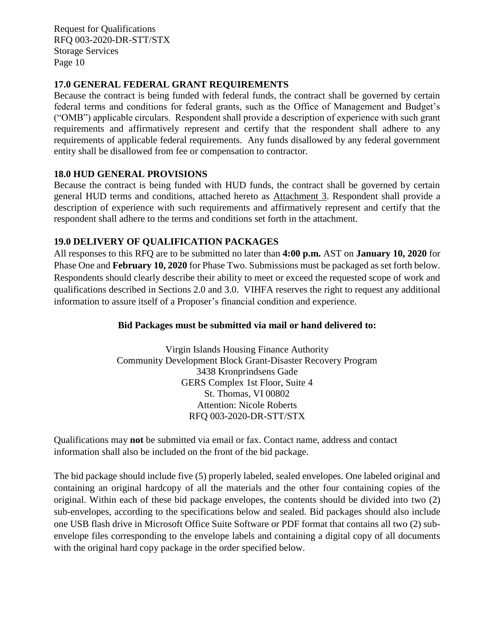### <span id="page-12-0"></span>**17.0 GENERAL FEDERAL GRANT REQUIREMENTS**

Because the contract is being funded with federal funds, the contract shall be governed by certain federal terms and conditions for federal grants, such as the Office of Management and Budget's ("OMB") applicable circulars. Respondent shall provide a description of experience with such grant requirements and affirmatively represent and certify that the respondent shall adhere to any requirements of applicable federal requirements. Any funds disallowed by any federal government entity shall be disallowed from fee or compensation to contractor.

#### <span id="page-12-1"></span>**18.0 HUD GENERAL PROVISIONS**

Because the contract is being funded with HUD funds, the contract shall be governed by certain general HUD terms and conditions, attached hereto as Attachment 3. Respondent shall provide a description of experience with such requirements and affirmatively represent and certify that the respondent shall adhere to the terms and conditions set forth in the attachment.

## <span id="page-12-2"></span>**19.0 DELIVERY OF QUALIFICATION PACKAGES**

All responses to this RFQ are to be submitted no later than **4:00 p.m.** AST on **January 10, 2020** for Phase One and **February 10, 2020** for Phase Two. Submissions must be packaged as set forth below. Respondents should clearly describe their ability to meet or exceed the requested scope of work and qualifications described in Sections 2.0 and 3.0. VIHFA reserves the right to request any additional information to assure itself of a Proposer's financial condition and experience.

## **Bid Packages must be submitted via mail or hand delivered to:**

Virgin Islands Housing Finance Authority Community Development Block Grant-Disaster Recovery Program 3438 Kronprindsens Gade GERS Complex 1st Floor, Suite 4 St. Thomas, VI 00802 Attention: Nicole Roberts RFQ 003-2020-DR-STT/STX

Qualifications may **not** be submitted via email or fax. Contact name, address and contact information shall also be included on the front of the bid package.

The bid package should include five (5) properly labeled, sealed envelopes. One labeled original and containing an original hardcopy of all the materials and the other four containing copies of the original. Within each of these bid package envelopes, the contents should be divided into two (2) sub-envelopes, according to the specifications below and sealed. Bid packages should also include one USB flash drive in Microsoft Office Suite Software or PDF format that contains all two (2) subenvelope files corresponding to the envelope labels and containing a digital copy of all documents with the original hard copy package in the order specified below.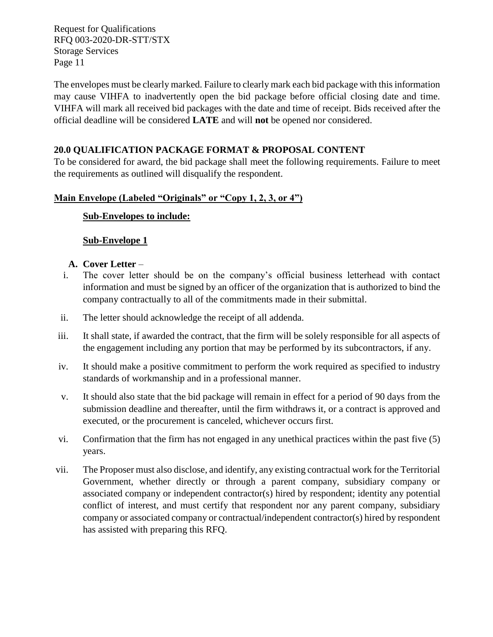The envelopes must be clearly marked. Failure to clearly mark each bid package with this information may cause VIHFA to inadvertently open the bid package before official closing date and time. VIHFA will mark all received bid packages with the date and time of receipt. Bids received after the official deadline will be considered **LATE** and will **not** be opened nor considered.

## <span id="page-13-0"></span>**20.0 QUALIFICATION PACKAGE FORMAT & PROPOSAL CONTENT**

To be considered for award, the bid package shall meet the following requirements. Failure to meet the requirements as outlined will disqualify the respondent.

## **Main Envelope (Labeled "Originals" or "Copy 1, 2, 3, or 4")**

## **Sub-Envelopes to include:**

### **Sub-Envelope 1**

- **A. Cover Letter** –
- i. The cover letter should be on the company's official business letterhead with contact information and must be signed by an officer of the organization that is authorized to bind the company contractually to all of the commitments made in their submittal.
- ii. The letter should acknowledge the receipt of all addenda.
- iii. It shall state, if awarded the contract, that the firm will be solely responsible for all aspects of the engagement including any portion that may be performed by its subcontractors, if any.
- iv. It should make a positive commitment to perform the work required as specified to industry standards of workmanship and in a professional manner.
- v. It should also state that the bid package will remain in effect for a period of 90 days from the submission deadline and thereafter, until the firm withdraws it, or a contract is approved and executed, or the procurement is canceled, whichever occurs first.
- vi. Confirmation that the firm has not engaged in any unethical practices within the past five (5) years.
- vii. The Proposer must also disclose, and identify, any existing contractual work for the Territorial Government, whether directly or through a parent company, subsidiary company or associated company or independent contractor(s) hired by respondent; identity any potential conflict of interest, and must certify that respondent nor any parent company, subsidiary company or associated company or contractual/independent contractor(s) hired by respondent has assisted with preparing this RFQ.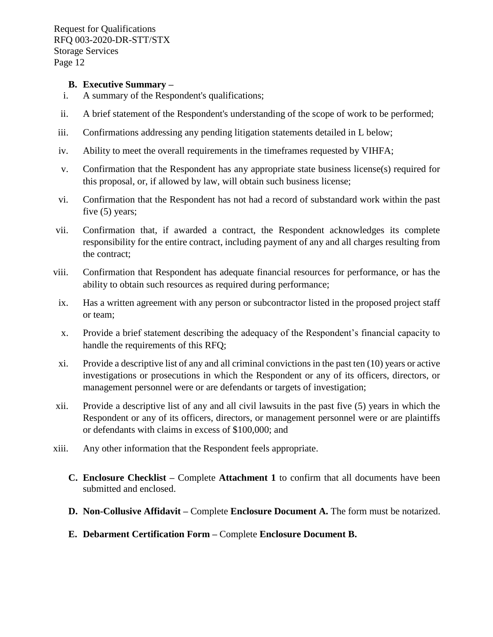#### **B. Executive Summary –**

- i. A summary of the Respondent's qualifications;
- ii. A brief statement of the Respondent's understanding of the scope of work to be performed;
- iii. Confirmations addressing any pending litigation statements detailed in L below;
- iv. Ability to meet the overall requirements in the timeframes requested by VIHFA;
- v. Confirmation that the Respondent has any appropriate state business license(s) required for this proposal, or, if allowed by law, will obtain such business license;
- vi. Confirmation that the Respondent has not had a record of substandard work within the past five (5) years;
- vii. Confirmation that, if awarded a contract, the Respondent acknowledges its complete responsibility for the entire contract, including payment of any and all charges resulting from the contract;
- viii. Confirmation that Respondent has adequate financial resources for performance, or has the ability to obtain such resources as required during performance;
- ix. Has a written agreement with any person or subcontractor listed in the proposed project staff or team;
- x. Provide a brief statement describing the adequacy of the Respondent's financial capacity to handle the requirements of this RFQ;
- xi. Provide a descriptive list of any and all criminal convictions in the past ten (10) years or active investigations or prosecutions in which the Respondent or any of its officers, directors, or management personnel were or are defendants or targets of investigation;
- xii. Provide a descriptive list of any and all civil lawsuits in the past five (5) years in which the Respondent or any of its officers, directors, or management personnel were or are plaintiffs or defendants with claims in excess of \$100,000; and
- xiii. Any other information that the Respondent feels appropriate.
	- **C. Enclosure Checklist –** Complete **Attachment 1** to confirm that all documents have been submitted and enclosed.
	- **D. Non-Collusive Affidavit –** Complete **Enclosure Document A.** The form must be notarized.
	- **E. Debarment Certification Form –** Complete **Enclosure Document B.**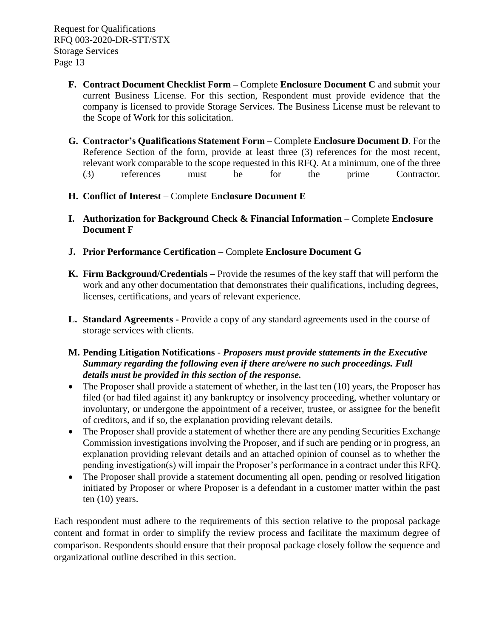- **F. Contract Document Checklist Form –** Complete **Enclosure Document C** and submit your current Business License. For this section, Respondent must provide evidence that the company is licensed to provide Storage Services. The Business License must be relevant to the Scope of Work for this solicitation.
- **G. Contractor's Qualifications Statement Form** Complete **Enclosure Document D**. For the Reference Section of the form, provide at least three (3) references for the most recent, relevant work comparable to the scope requested in this RFQ. At a minimum, one of the three (3) references must be for the prime Contractor.
- **H. Conflict of Interest** Complete **Enclosure Document E**
- **I. Authorization for Background Check & Financial Information** Complete **Enclosure Document F**
- **J. Prior Performance Certification** Complete **Enclosure Document G**
- **K. Firm Background/Credentials –** Provide the resumes of the key staff that will perform the work and any other documentation that demonstrates their qualifications, including degrees, licenses, certifications, and years of relevant experience.
- **L. Standard Agreements -** Provide a copy of any standard agreements used in the course of storage services with clients.
- **M. Pending Litigation Notifications**  *Proposers must provide statements in the Executive Summary regarding the following even if there are/were no such proceedings. Full details must be provided in this section of the response.*
- The Proposer shall provide a statement of whether, in the last ten (10) years, the Proposer has filed (or had filed against it) any bankruptcy or insolvency proceeding, whether voluntary or involuntary, or undergone the appointment of a receiver, trustee, or assignee for the benefit of creditors, and if so, the explanation providing relevant details.
- The Proposer shall provide a statement of whether there are any pending Securities Exchange Commission investigations involving the Proposer, and if such are pending or in progress, an explanation providing relevant details and an attached opinion of counsel as to whether the pending investigation(s) will impair the Proposer's performance in a contract under this RFQ.
- The Proposer shall provide a statement documenting all open, pending or resolved litigation initiated by Proposer or where Proposer is a defendant in a customer matter within the past ten (10) years.

Each respondent must adhere to the requirements of this section relative to the proposal package content and format in order to simplify the review process and facilitate the maximum degree of comparison. Respondents should ensure that their proposal package closely follow the sequence and organizational outline described in this section.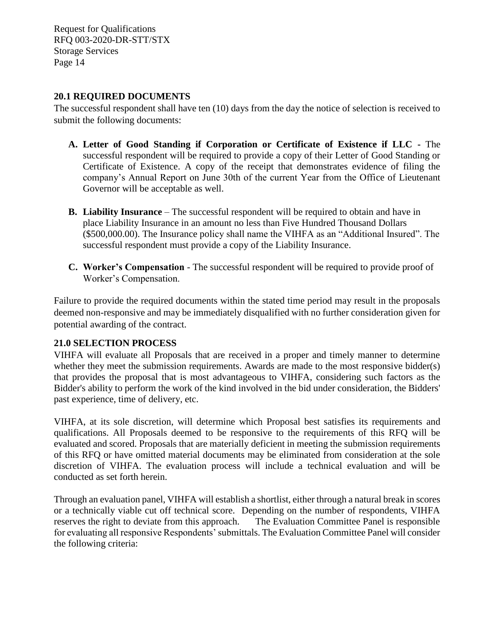### <span id="page-16-0"></span>**20.1 REQUIRED DOCUMENTS**

The successful respondent shall have ten (10) days from the day the notice of selection is received to submit the following documents:

- **A. Letter of Good Standing if Corporation or Certificate of Existence if LLC -** The successful respondent will be required to provide a copy of their Letter of Good Standing or Certificate of Existence. A copy of the receipt that demonstrates evidence of filing the company's Annual Report on June 30th of the current Year from the Office of Lieutenant Governor will be acceptable as well.
- **B. Liability Insurance** The successful respondent will be required to obtain and have in place Liability Insurance in an amount no less than Five Hundred Thousand Dollars (\$500,000.00). The Insurance policy shall name the VIHFA as an "Additional Insured". The successful respondent must provide a copy of the Liability Insurance.
- **C. Worker's Compensation**  The successful respondent will be required to provide proof of Worker's Compensation.

Failure to provide the required documents within the stated time period may result in the proposals deemed non-responsive and may be immediately disqualified with no further consideration given for potential awarding of the contract.

## <span id="page-16-1"></span>**21.0 SELECTION PROCESS**

VIHFA will evaluate all Proposals that are received in a proper and timely manner to determine whether they meet the submission requirements. Awards are made to the most responsive bidder(s) that provides the proposal that is most advantageous to VIHFA, considering such factors as the Bidder's ability to perform the work of the kind involved in the bid under consideration, the Bidders' past experience, time of delivery, etc.

VIHFA, at its sole discretion, will determine which Proposal best satisfies its requirements and qualifications. All Proposals deemed to be responsive to the requirements of this RFQ will be evaluated and scored. Proposals that are materially deficient in meeting the submission requirements of this RFQ or have omitted material documents may be eliminated from consideration at the sole discretion of VIHFA. The evaluation process will include a technical evaluation and will be conducted as set forth herein.

Through an evaluation panel, VIHFA will establish a shortlist, either through a natural break in scores or a technically viable cut off technical score. Depending on the number of respondents, VIHFA reserves the right to deviate from this approach. The Evaluation Committee Panel is responsible for evaluating all responsive Respondents' submittals. The Evaluation Committee Panel will consider the following criteria: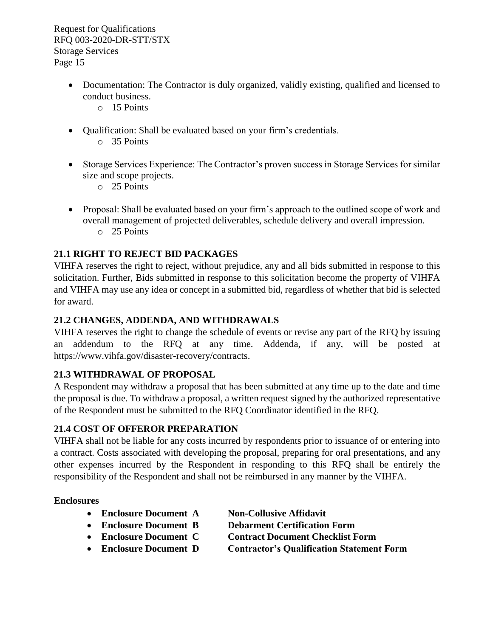- Documentation: The Contractor is duly organized, validly existing, qualified and licensed to conduct business.
	- o 15 Points
- Qualification: Shall be evaluated based on your firm's credentials.
	- o 35 Points
- Storage Services Experience: The Contractor's proven success in Storage Services for similar size and scope projects.
	- o 25 Points
- Proposal: Shall be evaluated based on your firm's approach to the outlined scope of work and overall management of projected deliverables, schedule delivery and overall impression. o 25 Points

## <span id="page-17-0"></span>**21.1 RIGHT TO REJECT BID PACKAGES**

VIHFA reserves the right to reject, without prejudice, any and all bids submitted in response to this solicitation. Further, Bids submitted in response to this solicitation become the property of VIHFA and VIHFA may use any idea or concept in a submitted bid, regardless of whether that bid is selected for award.

## <span id="page-17-1"></span>**21.2 CHANGES, ADDENDA, AND WITHDRAWALS**

VIHFA reserves the right to change the schedule of events or revise any part of the RFQ by issuing an addendum to the RFQ at any time. Addenda, if any, will be posted at [https://www.vihfa.gov/disaster-recovery/contracts.](https://www.vihfa.gov/disaster-recovery/contracts)

## <span id="page-17-2"></span>**21.3 WITHDRAWAL OF PROPOSAL**

A Respondent may withdraw a proposal that has been submitted at any time up to the date and time the proposal is due. To withdraw a proposal, a written request signed by the authorized representative of the Respondent must be submitted to the RFQ Coordinator identified in the RFQ.

## <span id="page-17-3"></span>**21.4 COST OF OFFEROR PREPARATION**

VIHFA shall not be liable for any costs incurred by respondents prior to issuance of or entering into a contract. Costs associated with developing the proposal, preparing for oral presentations, and any other expenses incurred by the Respondent in responding to this RFQ shall be entirely the responsibility of the Respondent and shall not be reimbursed in any manner by the VIHFA.

## **Enclosures**

- **Enclosure Document A Non-Collusive Affidavit**
	-
- 
- 
- 
- **Enclosure Document B Debarment Certification Form**
- **Enclosure Document C Contract Document Checklist Form**
- **Enclosure Document D Contractor's Qualification Statement Form**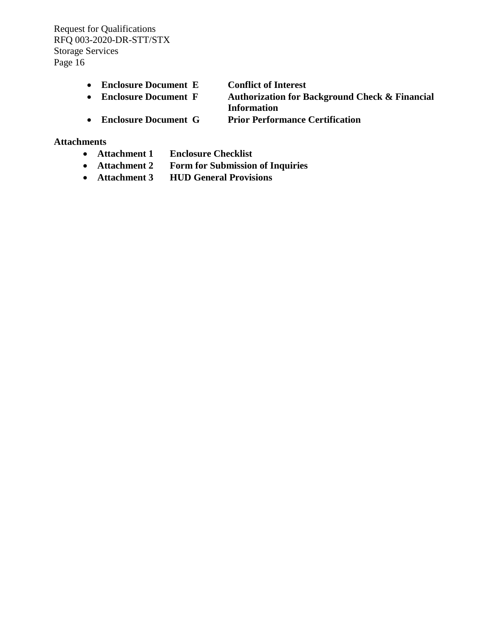- **Enclosure Document E Conflict of Interest**
	-

• **Enclosure Document F Authorization for Background Check & Financial Information**

• **Enclosure Document G Prior Performance Certification** 

#### **Attachments**

- **Attachment 1 Enclosure Checklist**
- **Attachment 2 Form for Submission of Inquiries**
- **Attachment 3 HUD General Provisions**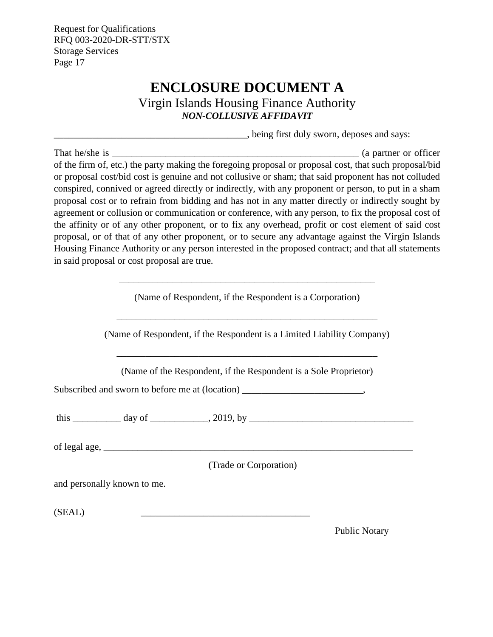# **ENCLOSURE DOCUMENT A**

Virgin Islands Housing Finance Authority *NON-COLLUSIVE AFFIDAVIT*

\_\_\_\_\_\_\_\_\_\_\_\_\_\_\_\_\_\_\_\_\_\_\_\_\_\_\_\_\_\_\_\_\_\_\_\_\_\_\_\_, being first duly sworn, deposes and says:

<span id="page-19-0"></span>That he/she is \_\_\_\_\_\_\_\_\_\_\_\_\_\_\_\_\_\_\_\_\_\_\_\_\_\_\_\_\_\_\_\_\_\_\_\_\_\_\_\_\_\_\_\_\_\_\_\_\_\_\_ (a partner or officer of the firm of, etc.) the party making the foregoing proposal or proposal cost, that such proposal/bid or proposal cost/bid cost is genuine and not collusive or sham; that said proponent has not colluded conspired, connived or agreed directly or indirectly, with any proponent or person, to put in a sham proposal cost or to refrain from bidding and has not in any matter directly or indirectly sought by agreement or collusion or communication or conference, with any person, to fix the proposal cost of the affinity or of any other proponent, or to fix any overhead, profit or cost element of said cost proposal, or of that of any other proponent, or to secure any advantage against the Virgin Islands Housing Finance Authority or any person interested in the proposed contract; and that all statements in said proposal or cost proposal are true.

(Name of Respondent, if the Respondent is a Corporation)

\_\_\_\_\_\_\_\_\_\_\_\_\_\_\_\_\_\_\_\_\_\_\_\_\_\_\_\_\_\_\_\_\_\_\_\_\_\_\_\_\_\_\_\_\_\_\_\_\_\_\_\_\_

(Name of Respondent, if the Respondent is a Limited Liability Company)

\_\_\_\_\_\_\_\_\_\_\_\_\_\_\_\_\_\_\_\_\_\_\_\_\_\_\_\_\_\_\_\_\_\_\_\_\_\_\_\_\_\_\_\_\_\_\_\_\_\_\_\_\_\_

(Name of the Respondent, if the Respondent is a Sole Proprietor)

\_\_\_\_\_\_\_\_\_\_\_\_\_\_\_\_\_\_\_\_\_\_\_\_\_\_\_\_\_\_\_\_\_\_\_\_\_\_\_\_\_\_\_\_\_\_\_\_\_\_\_\_\_\_

Subscribed and sworn to before me at (location)  $\cdot$ 

this \_\_\_\_\_\_\_\_\_\_ day of \_\_\_\_\_\_\_\_\_\_\_\_, 2019, by \_\_\_\_\_\_\_\_\_\_\_\_\_\_\_\_\_\_\_\_\_\_\_\_\_\_\_\_\_\_\_\_\_\_

of legal age,  $\Box$ 

(Trade or Corporation)

and personally known to me.

 $(SEAL)$ 

Public Notary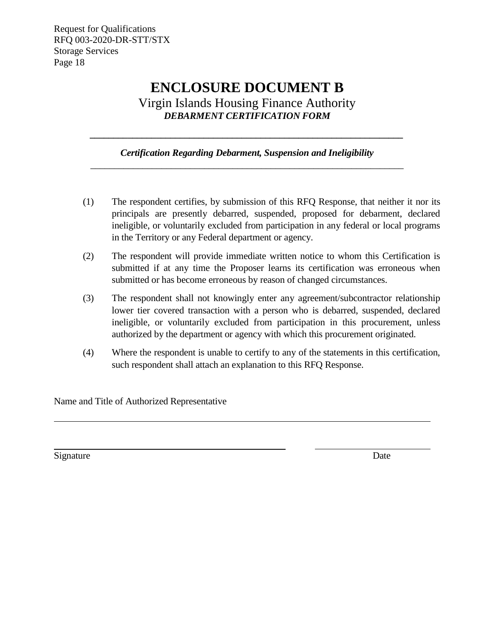## **ENCLOSURE DOCUMENT B**

Virgin Islands Housing Finance Authority *DEBARMENT CERTIFICATION FORM*

## *Certification Regarding Debarment, Suspension and Ineligibility \_\_\_\_\_\_\_\_\_\_\_\_\_\_\_\_\_\_\_\_\_\_\_\_\_\_\_\_\_\_\_\_\_\_\_\_\_\_\_\_\_\_\_\_\_\_\_\_\_\_\_\_\_\_\_\_\_\_\_\_\_\_\_\_\_\_*

<span id="page-20-0"></span>*\_\_\_\_\_\_\_\_\_\_\_\_\_\_\_\_\_\_\_\_\_\_\_\_\_\_\_\_\_\_\_\_\_\_\_\_\_\_\_\_\_\_\_\_\_\_\_\_\_\_\_\_\_\_\_\_\_\_\_\_\_\_\_\_\_\_*

- (1) The respondent certifies, by submission of this RFQ Response, that neither it nor its principals are presently debarred, suspended, proposed for debarment, declared ineligible, or voluntarily excluded from participation in any federal or local programs in the Territory or any Federal department or agency.
- (2) The respondent will provide immediate written notice to whom this Certification is submitted if at any time the Proposer learns its certification was erroneous when submitted or has become erroneous by reason of changed circumstances.
- (3) The respondent shall not knowingly enter any agreement/subcontractor relationship lower tier covered transaction with a person who is debarred, suspended, declared ineligible, or voluntarily excluded from participation in this procurement, unless authorized by the department or agency with which this procurement originated.
- (4) Where the respondent is unable to certify to any of the statements in this certification, such respondent shall attach an explanation to this RFQ Response.

Name and Title of Authorized Representative

Signature Date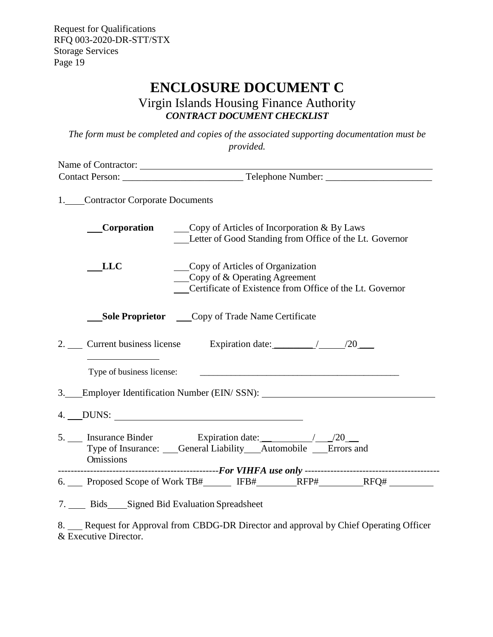## **ENCLOSURE DOCUMENT C**

Virgin Islands Housing Finance Authority *CONTRACT DOCUMENT CHECKLIST*

<span id="page-21-0"></span>*The form must be completed and copies of the associated supporting documentation must be provided.*

| Name of Contractor:                                                                   |  |                                                                     |                                                |                                                          |
|---------------------------------------------------------------------------------------|--|---------------------------------------------------------------------|------------------------------------------------|----------------------------------------------------------|
|                                                                                       |  |                                                                     |                                                |                                                          |
| 1. Contractor Corporate Documents                                                     |  |                                                                     |                                                |                                                          |
| Corporation                                                                           |  |                                                                     | Copy of Articles of Incorporation $\&$ By Laws | Letter of Good Standing from Office of the Lt. Governor  |
| <b>LLC</b>                                                                            |  | Copy of Articles of Organization<br>Copy of $&$ Operating Agreement |                                                | Certificate of Existence from Office of the Lt. Governor |
| <b>Sole Proprietor Copy of Trade Name Certificate</b>                                 |  |                                                                     |                                                |                                                          |
| 2. Current business license Expiration date: 20 20                                    |  |                                                                     |                                                |                                                          |
|                                                                                       |  |                                                                     |                                                |                                                          |
| 3. Employer Identification Number (EIN/SSN): ___________________________________      |  |                                                                     |                                                |                                                          |
|                                                                                       |  |                                                                     |                                                |                                                          |
| Type of Insurance: Ceneral Liability Automobile Errors and<br><b>Omissions</b>        |  |                                                                     |                                                |                                                          |
|                                                                                       |  |                                                                     |                                                |                                                          |
|                                                                                       |  |                                                                     |                                                |                                                          |
| 7. Bids Signed Bid Evaluation Spreadsheet                                             |  |                                                                     |                                                |                                                          |
| 8. Request for Approval from CBDG-DR Director and approval by Chief Operating Officer |  |                                                                     |                                                |                                                          |

8. Executive Director.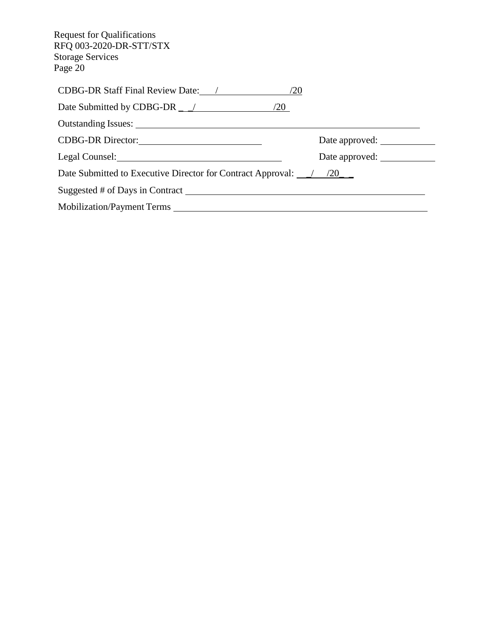| <b>Request for Qualifications</b><br>RFQ 003-2020-DR-STT/STX<br><b>Storage Services</b><br>Page 20  |                |
|-----------------------------------------------------------------------------------------------------|----------------|
|                                                                                                     |                |
| Date Submitted by CDBG-DR $\angle$ /20                                                              |                |
|                                                                                                     |                |
|                                                                                                     | Date approved: |
| Legal Counsel: 2000 and 2000 and 2000 and 2000 and 2000 and 2000 and 2000 and 2000 and 2000 and 200 | Date approved: |
| Date Submitted to Executive Director for Contract Approval: $\frac{\gamma}{\sqrt{20}}$              |                |
| Suggested # of Days in Contract                                                                     |                |
|                                                                                                     |                |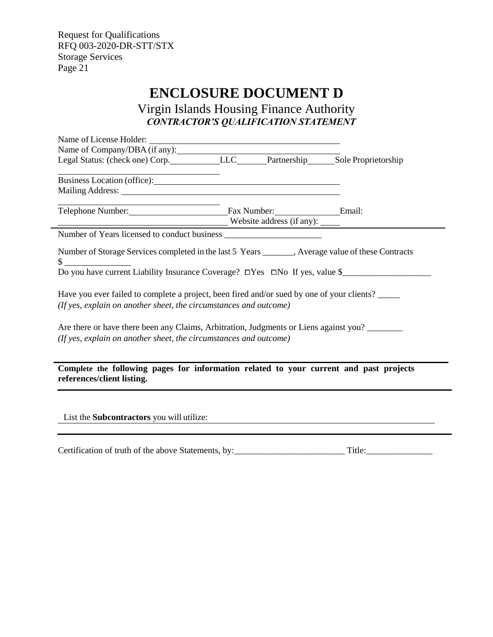## **ENCLOSURE DOCUMENT D**

<span id="page-23-0"></span>Virgin Islands Housing Finance Authority *CONTRACTOR'S QUALIFICATION STATEMENT*

| Name of Company/DBA (if any):<br>Legal Status: (check one) Corp. LLC Legal Status: (check one) Corp. LLC LEC LEC Partnership Sole Proprietorship                                                                               |  |  |  |  |  |
|--------------------------------------------------------------------------------------------------------------------------------------------------------------------------------------------------------------------------------|--|--|--|--|--|
| Business Location (office):                                                                                                                                                                                                    |  |  |  |  |  |
| Mailing Address: National Address: National Address: National Address: National Address: National Address: National Address: National Address: National Address: National Address: National Address: National Address: Nationa |  |  |  |  |  |
| <u> 1989 - Johann Barn, mars eta biztanleria (</u><br>Telephone Number: Email: Fax Number: Email:<br>Website address (if any):                                                                                                 |  |  |  |  |  |
| Number of Years licensed to conduct business                                                                                                                                                                                   |  |  |  |  |  |
|                                                                                                                                                                                                                                |  |  |  |  |  |
| Number of Storage Services completed in the last 5 Years _______, Average value of these Contracts<br>Do you have current Liability Insurance Coverage? □Yes □No If yes, value \$                                              |  |  |  |  |  |
| Have you ever failed to complete a project, been fired and/or sued by one of your clients?<br>(If yes, explain on another sheet, the circumstances and outcome)                                                                |  |  |  |  |  |
| Are there or have there been any Claims, Arbitration, Judgments or Liens against you?<br>(If yes, explain on another sheet, the circumstances and outcome)                                                                     |  |  |  |  |  |
| Complete the following pages for information related to your current and past projects<br>references/client listing.                                                                                                           |  |  |  |  |  |
| List the <b>Subcontractors</b> you will utilize:                                                                                                                                                                               |  |  |  |  |  |

Certification of truth of the above Statements, by:\_\_\_\_\_\_\_\_\_\_\_\_\_\_\_\_\_\_\_\_\_\_\_\_\_ Title:\_\_\_\_\_\_\_\_\_\_\_\_\_\_\_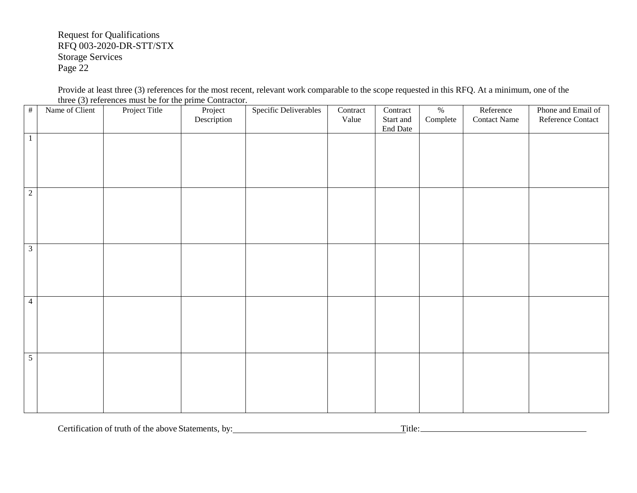Provide at least three (3) references for the most recent, relevant work comparable to the scope requested in this RFQ. At a minimum, one of the three (3) references must be for the prime Contractor.

| $\#$           | Name of Client | Project Title | Project<br>Description | Specific Deliverables | Contract<br>Value | Contract<br>Start and<br>End Date | $\%$<br>Complete | Reference<br><b>Contact Name</b> | Phone and Email of<br>Reference Contact |
|----------------|----------------|---------------|------------------------|-----------------------|-------------------|-----------------------------------|------------------|----------------------------------|-----------------------------------------|
| $\mathbf{1}$   |                |               |                        |                       |                   |                                   |                  |                                  |                                         |
| $\sqrt{2}$     |                |               |                        |                       |                   |                                   |                  |                                  |                                         |
| $\mathfrak{Z}$ |                |               |                        |                       |                   |                                   |                  |                                  |                                         |
| $\overline{4}$ |                |               |                        |                       |                   |                                   |                  |                                  |                                         |
| $\overline{5}$ |                |               |                        |                       |                   |                                   |                  |                                  |                                         |

Certification of truth of the above Statements, by: Title: Title: Title: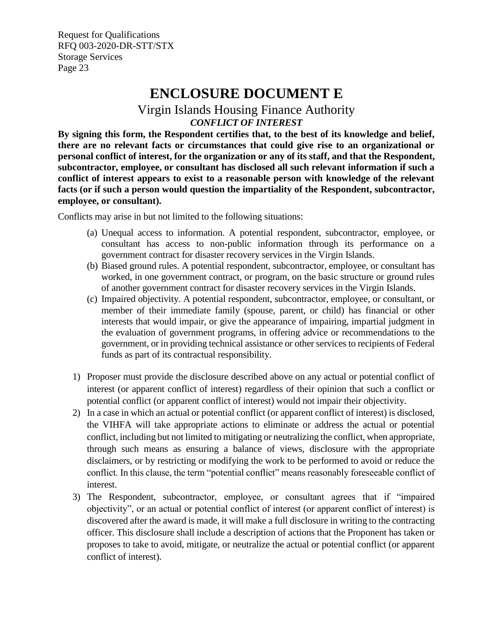## **ENCLOSURE DOCUMENT E**

## Virgin Islands Housing Finance Authority *CONFLICT OF INTEREST*

<span id="page-25-0"></span>**By signing this form, the Respondent certifies that, to the best of its knowledge and belief, there are no relevant facts or circumstances that could give rise to an organizational or personal conflict of interest, for the organization or any of its staff, and that the Respondent, subcontractor, employee, or consultant has disclosed all such relevant information if such a conflict of interest appears to exist to a reasonable person with knowledge of the relevant facts (or if such a person would question the impartiality of the Respondent, subcontractor, employee, or consultant).**

Conflicts may arise in but not limited to the following situations:

- (a) Unequal access to information. A potential respondent, subcontractor, employee, or consultant has access to non-public information through its performance on a government contract for disaster recovery services in the Virgin Islands.
- (b) Biased ground rules. A potential respondent, subcontractor, employee, or consultant has worked, in one government contract, or program, on the basic structure or ground rules of another government contract for disaster recovery services in the Virgin Islands.
- (c) Impaired objectivity. A potential respondent, subcontractor, employee, or consultant, or member of their immediate family (spouse, parent, or child) has financial or other interests that would impair, or give the appearance of impairing, impartial judgment in the evaluation of government programs, in offering advice or recommendations to the government, or in providing technical assistance or other services to recipients of Federal funds as part of its contractual responsibility.
- 1) Proposer must provide the disclosure described above on any actual or potential conflict of interest (or apparent conflict of interest) regardless of their opinion that such a conflict or potential conflict (or apparent conflict of interest) would not impair their objectivity.
- 2) In a case in which an actual or potential conflict (or apparent conflict of interest) is disclosed, the VIHFA will take appropriate actions to eliminate or address the actual or potential conflict, including but not limited to mitigating or neutralizing the conflict, when appropriate, through such means as ensuring a balance of views, disclosure with the appropriate disclaimers, or by restricting or modifying the work to be performed to avoid or reduce the conflict. In this clause, the term "potential conflict" means reasonably foreseeable conflict of interest.
- 3) The Respondent, subcontractor, employee, or consultant agrees that if "impaired objectivity", or an actual or potential conflict of interest (or apparent conflict of interest) is discovered after the award is made, it will make a full disclosure in writing to the contracting officer. This disclosure shall include a description of actions that the Proponent has taken or proposes to take to avoid, mitigate, or neutralize the actual or potential conflict (or apparent conflict of interest).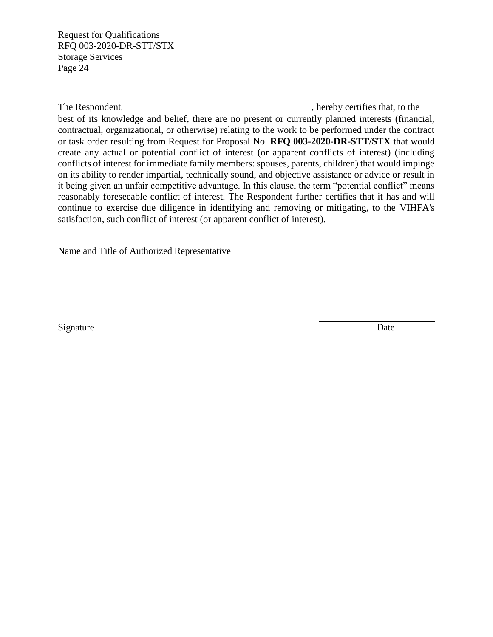The Respondent,  $\blacksquare$ , hereby certifies that, to the

best of its knowledge and belief, there are no present or currently planned interests (financial, contractual, organizational, or otherwise) relating to the work to be performed under the contract or task order resulting from Request for Proposal No. **RFQ 003-2020-DR-STT/STX** that would create any actual or potential conflict of interest (or apparent conflicts of interest) (including conflicts of interest for immediate family members: spouses, parents, children) that would impinge on its ability to render impartial, technically sound, and objective assistance or advice or result in it being given an unfair competitive advantage. In this clause, the term "potential conflict" means reasonably foreseeable conflict of interest. The Respondent further certifies that it has and will continue to exercise due diligence in identifying and removing or mitigating, to the VIHFA's satisfaction, such conflict of interest (or apparent conflict of interest).

Name and Title of Authorized Representative

Signature Date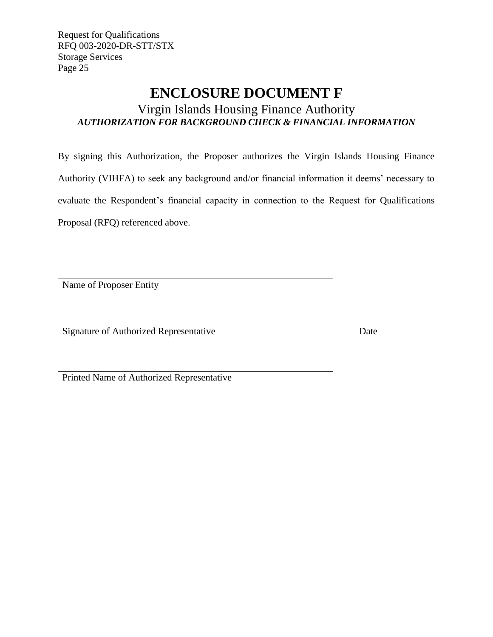## **ENCLOSURE DOCUMENT F**

## <span id="page-27-0"></span>Virgin Islands Housing Finance Authority *AUTHORIZATION FOR BACKGROUND CHECK & FINANCIAL INFORMATION*

By signing this Authorization, the Proposer authorizes the Virgin Islands Housing Finance Authority (VIHFA) to seek any background and/or financial information it deems' necessary to evaluate the Respondent's financial capacity in connection to the Request for Qualifications Proposal (RFQ) referenced above.

Name of Proposer Entity

Signature of Authorized Representative Date

Printed Name of Authorized Representative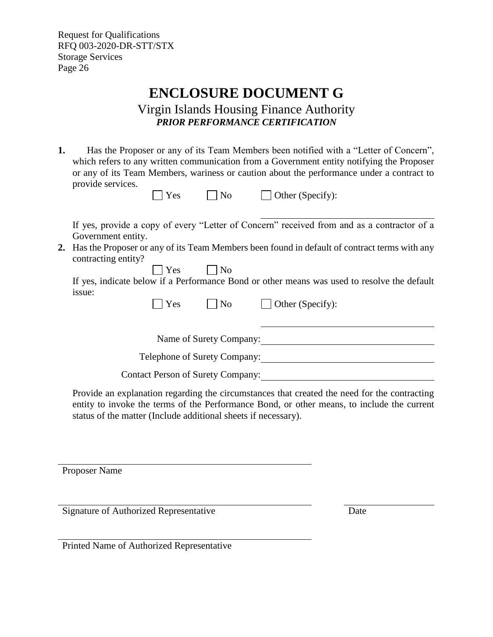## **ENCLOSURE DOCUMENT G**

Virgin Islands Housing Finance Authority *PRIOR PERFORMANCE CERTIFICATION*

<span id="page-28-0"></span>**1.** Has the Proposer or any of its Team Members been notified with a "Letter of Concern", which refers to any written communication from a Government entity notifying the Proposer or any of its Team Members, wariness or caution about the performance under a contract to provide services.

| provide services.                         | Yes                                      | No                                | Other (Specify):                                                                                                                                                                              |
|-------------------------------------------|------------------------------------------|-----------------------------------|-----------------------------------------------------------------------------------------------------------------------------------------------------------------------------------------------|
| Government entity.<br>contracting entity? |                                          |                                   | If yes, provide a copy of every "Letter of Concern" received from and as a contractor of a<br>2. Has the Proposer or any of its Team Members been found in default of contract terms with any |
| issue:                                    | Yes<br><b>Yes</b>                        | $\overline{\phantom{1}}$ No<br>No | If yes, indicate below if a Performance Bond or other means was used to resolve the default<br>Other (Specify):                                                                               |
|                                           | Telephone of Surety Company:             | Name of Surety Company:           |                                                                                                                                                                                               |
|                                           | <b>Contact Person of Surety Company:</b> |                                   |                                                                                                                                                                                               |

Provide an explanation regarding the circumstances that created the need for the contracting entity to invoke the terms of the Performance Bond, or other means, to include the current status of the matter (Include additional sheets if necessary).

Proposer Name

Signature of Authorized Representative Date

Printed Name of Authorized Representative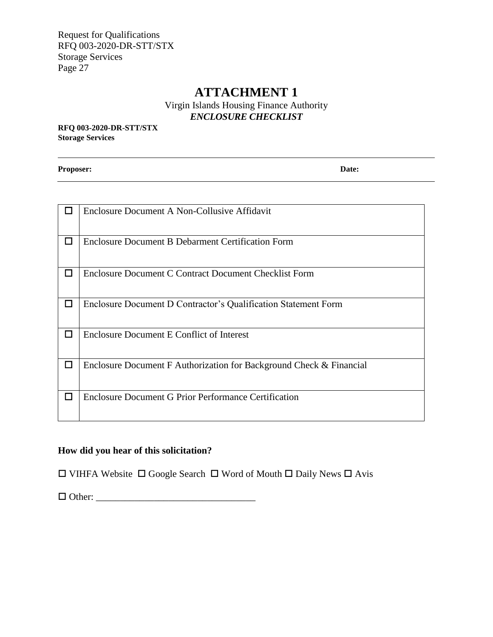## **ATTACHMENT 1**

Virgin Islands Housing Finance Authority *ENCLOSURE CHECKLIST*

<span id="page-29-0"></span>**RFQ 003-2020-DR-STT/STX Storage Services**

**Proposer: Date:**

|        | Enclosure Document A Non-Collusive Affidavit                        |
|--------|---------------------------------------------------------------------|
|        |                                                                     |
| $\Box$ | <b>Enclosure Document B Debarment Certification Form</b>            |
| □      | Enclosure Document C Contract Document Checklist Form               |
|        |                                                                     |
| □      | Enclosure Document D Contractor's Qualification Statement Form      |
| □      | Enclosure Document E Conflict of Interest                           |
| □      | Enclosure Document F Authorization for Background Check & Financial |
| □      | Enclosure Document G Prior Performance Certification                |

## **How did you hear of this solicitation?**

 $\square$  VIHFA Website  $\square$  Google Search  $\square$  Word of Mouth  $\square$  Daily News  $\square$  Avis

 $\Box$   $\Box$   $\Box$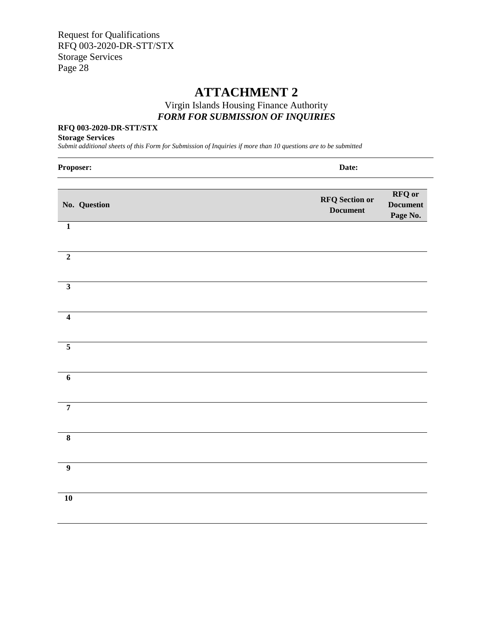## **ATTACHMENT 2**

## Virgin Islands Housing Finance Authority *FORM FOR SUBMISSION OF INQUIRIES*

#### <span id="page-30-0"></span>**RFQ 003-2020-DR-STT/STX**

#### **Storage Services**

*Submit additional sheets of this Form for Submission of Inquiries if more than 10 questions are to be submitted*

| Proposer:               | Date:                                                                                    |
|-------------------------|------------------------------------------------------------------------------------------|
| No. Question            | <b>RFQ</b> or<br><b>RFQ</b> Section or<br><b>Document</b><br><b>Document</b><br>Page No. |
| $\mathbf 1$             |                                                                                          |
| $\overline{2}$          |                                                                                          |
| $\overline{\mathbf{3}}$ |                                                                                          |
| $\overline{\mathbf{4}}$ |                                                                                          |
| $\overline{5}$          |                                                                                          |
| $\overline{6}$          |                                                                                          |
| $\overline{7}$          |                                                                                          |
| $\overline{\mathbf{8}}$ |                                                                                          |
| $\overline{9}$          |                                                                                          |
| 10                      |                                                                                          |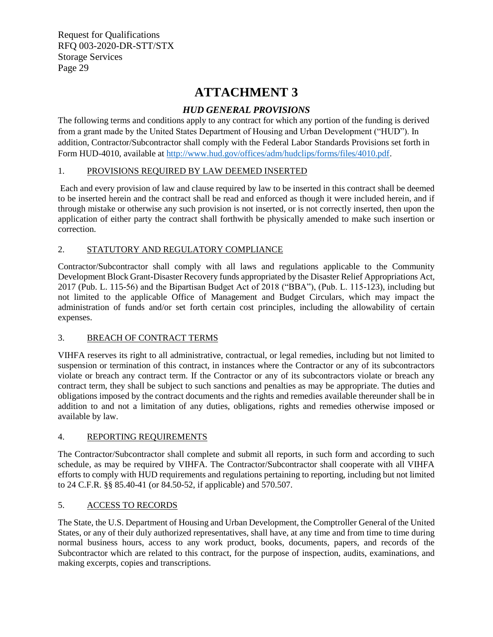## **ATTACHMENT 3**

## *HUD GENERAL PROVISIONS*

<span id="page-31-0"></span>The following terms and conditions apply to any contract for which any portion of the funding is derived from a grant made by the United States Department of Housing and Urban Development ("HUD"). In addition, Contractor/Subcontractor shall comply with the Federal Labor Standards Provisions set forth in Form HUD-4010, available a[t http://www.hud.gov/offices/adm/hudclips/forms/files/4010.pdf.](http://www.hud.gov/offices/adm/hudclips/forms/files/4010.pdf)

### 1. PROVISIONS REQUIRED BY LAW DEEMED INSERTED

Each and every provision of law and clause required by law to be inserted in this contract shall be deemed to be inserted herein and the contract shall be read and enforced as though it were included herein, and if through mistake or otherwise any such provision is not inserted, or is not correctly inserted, then upon the application of either party the contract shall forthwith be physically amended to make such insertion or correction.

### 2. STATUTORY AND REGULATORY COMPLIANCE

Contractor/Subcontractor shall comply with all laws and regulations applicable to the Community Development Block Grant-Disaster Recovery funds appropriated by the Disaster Relief Appropriations Act, 2017 (Pub. L. 115-56) and the Bipartisan Budget Act of 2018 ("BBA"), (Pub. L. 115-123), including but not limited to the applicable Office of Management and Budget Circulars, which may impact the administration of funds and/or set forth certain cost principles, including the allowability of certain expenses.

#### 3. BREACH OF CONTRACT TERMS

VIHFA reserves its right to all administrative, contractual, or legal remedies, including but not limited to suspension or termination of this contract, in instances where the Contractor or any of its subcontractors violate or breach any contract term. If the Contractor or any of its subcontractors violate or breach any contract term, they shall be subject to such sanctions and penalties as may be appropriate. The duties and obligations imposed by the contract documents and the rights and remedies available thereunder shall be in addition to and not a limitation of any duties, obligations, rights and remedies otherwise imposed or available by law.

#### 4. REPORTING REQUIREMENTS

The Contractor/Subcontractor shall complete and submit all reports, in such form and according to such schedule, as may be required by VIHFA. The Contractor/Subcontractor shall cooperate with all VIHFA efforts to comply with HUD requirements and regulations pertaining to reporting, including but not limited to 24 C.F.R. §§ 85.40-41 (or 84.50-52, if applicable) and 570.507.

#### 5. ACCESS TO RECORDS

The State, the U.S. Department of Housing and Urban Development, the Comptroller General of the United States, or any of their duly authorized representatives, shall have, at any time and from time to time during normal business hours, access to any work product, books, documents, papers, and records of the Subcontractor which are related to this contract, for the purpose of inspection, audits, examinations, and making excerpts, copies and transcriptions.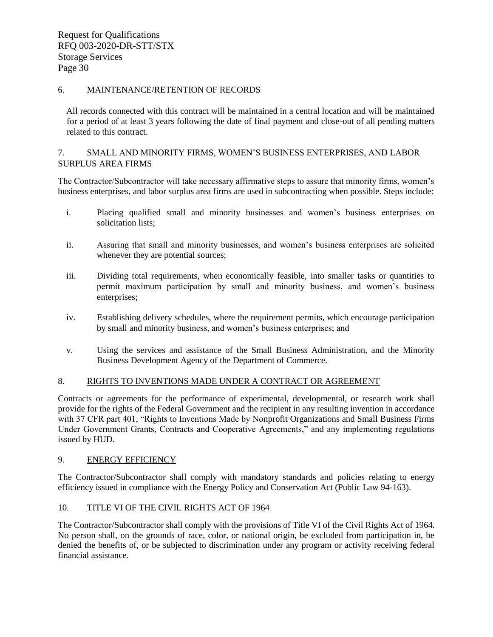#### 6. MAINTENANCE/RETENTION OF RECORDS

All records connected with this contract will be maintained in a central location and will be maintained for a period of at least 3 years following the date of final payment and close-out of all pending matters related to this contract.

#### 7. SMALL AND MINORITY FIRMS, WOMEN'S BUSINESS ENTERPRISES, AND LABOR SURPLUS AREA FIRMS

The Contractor/Subcontractor will take necessary affirmative steps to assure that minority firms, women's business enterprises, and labor surplus area firms are used in subcontracting when possible. Steps include:

- i. Placing qualified small and minority businesses and women's business enterprises on solicitation lists;
- ii. Assuring that small and minority businesses, and women's business enterprises are solicited whenever they are potential sources;
- iii. Dividing total requirements, when economically feasible, into smaller tasks or quantities to permit maximum participation by small and minority business, and women's business enterprises;
- iv. Establishing delivery schedules, where the requirement permits, which encourage participation by small and minority business, and women's business enterprises; and
- v. Using the services and assistance of the Small Business Administration, and the Minority Business Development Agency of the Department of Commerce.

#### 8. RIGHTS TO INVENTIONS MADE UNDER A CONTRACT OR AGREEMENT

Contracts or agreements for the performance of experimental, developmental, or research work shall provide for the rights of the Federal Government and the recipient in any resulting invention in accordance with 37 CFR part 401, "Rights to Inventions Made by Nonprofit Organizations and Small Business Firms Under Government Grants, Contracts and Cooperative Agreements," and any implementing regulations issued by HUD.

#### 9. ENERGY EFFICIENCY

The Contractor/Subcontractor shall comply with mandatory standards and policies relating to energy efficiency issued in compliance with the Energy Policy and Conservation Act (Public Law 94-163).

#### 10. TITLE VI OF THE CIVIL RIGHTS ACT OF 1964

The Contractor/Subcontractor shall comply with the provisions of Title VI of the Civil Rights Act of 1964. No person shall, on the grounds of race, color, or national origin, be excluded from participation in, be denied the benefits of, or be subjected to discrimination under any program or activity receiving federal financial assistance.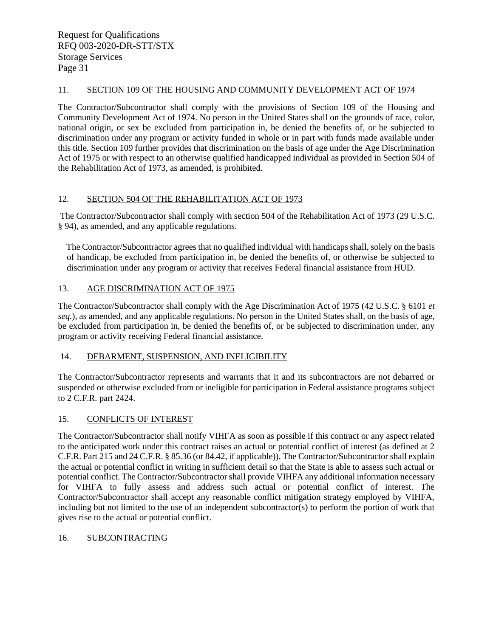#### 11. SECTION 109 OF THE HOUSING AND COMMUNITY DEVELOPMENT ACT OF 1974

The Contractor/Subcontractor shall comply with the provisions of Section 109 of the Housing and Community Development Act of 1974. No person in the United States shall on the grounds of race, color, national origin, or sex be excluded from participation in, be denied the benefits of, or be subjected to discrimination under any program or activity funded in whole or in part with funds made available under this title. Section 109 further provides that discrimination on the basis of age under the Age Discrimination Act of 1975 or with respect to an otherwise qualified handicapped individual as provided in Section 504 of the Rehabilitation Act of 1973, as amended, is prohibited.

#### 12. SECTION 504 OF THE REHABILITATION ACT OF 1973

The Contractor/Subcontractor shall comply with section 504 of the Rehabilitation Act of 1973 (29 U.S.C. § 94), as amended, and any applicable regulations.

The Contractor/Subcontractor agrees that no qualified individual with handicaps shall, solely on the basis of handicap, be excluded from participation in, be denied the benefits of, or otherwise be subjected to discrimination under any program or activity that receives Federal financial assistance from HUD.

#### 13. AGE DISCRIMINATION ACT OF 1975

The Contractor/Subcontractor shall comply with the Age Discrimination Act of 1975 (42 U.S.C. § 6101 *et seq.*), as amended, and any applicable regulations. No person in the United States shall, on the basis of age, be excluded from participation in, be denied the benefits of, or be subjected to discrimination under, any program or activity receiving Federal financial assistance.

#### 14. DEBARMENT, SUSPENSION, AND INELIGIBILITY

The Contractor/Subcontractor represents and warrants that it and its subcontractors are not debarred or suspended or otherwise excluded from or ineligible for participation in Federal assistance programs subject to 2 C.F.R. part 2424.

#### 15. CONFLICTS OF INTEREST

The Contractor/Subcontractor shall notify VIHFA as soon as possible if this contract or any aspect related to the anticipated work under this contract raises an actual or potential conflict of interest (as defined at 2 C.F.R. Part 215 and 24 C.F.R. § 85.36 (or 84.42, if applicable)). The Contractor/Subcontractor shall explain the actual or potential conflict in writing in sufficient detail so that the State is able to assess such actual or potential conflict. The Contractor/Subcontractor shall provide VIHFA any additional information necessary for VIHFA to fully assess and address such actual or potential conflict of interest. The Contractor/Subcontractor shall accept any reasonable conflict mitigation strategy employed by VIHFA, including but not limited to the use of an independent subcontractor(s) to perform the portion of work that gives rise to the actual or potential conflict.

#### 16. SUBCONTRACTING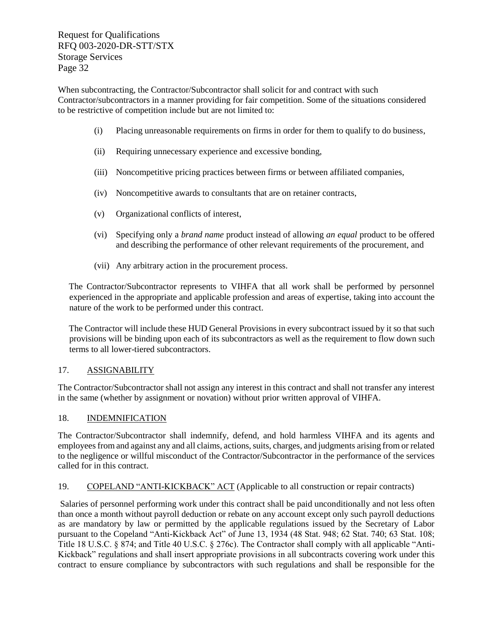When subcontracting, the Contractor/Subcontractor shall solicit for and contract with such Contractor/subcontractors in a manner providing for fair competition. Some of the situations considered to be restrictive of competition include but are not limited to:

- (i) Placing unreasonable requirements on firms in order for them to qualify to do business,
- (ii) Requiring unnecessary experience and excessive bonding,
- (iii) Noncompetitive pricing practices between firms or between affiliated companies,
- (iv) Noncompetitive awards to consultants that are on retainer contracts,
- (v) Organizational conflicts of interest,
- (vi) Specifying only a *brand name* product instead of allowing *an equal* product to be offered and describing the performance of other relevant requirements of the procurement, and
- (vii) Any arbitrary action in the procurement process.

The Contractor/Subcontractor represents to VIHFA that all work shall be performed by personnel experienced in the appropriate and applicable profession and areas of expertise, taking into account the nature of the work to be performed under this contract.

The Contractor will include these HUD General Provisions in every subcontract issued by it so that such provisions will be binding upon each of its subcontractors as well as the requirement to flow down such terms to all lower-tiered subcontractors.

#### 17. ASSIGNABILITY

The Contractor/Subcontractor shall not assign any interest in this contract and shall not transfer any interest in the same (whether by assignment or novation) without prior written approval of VIHFA.

#### 18. INDEMNIFICATION

The Contractor/Subcontractor shall indemnify, defend, and hold harmless VIHFA and its agents and employees from and against any and all claims, actions, suits, charges, and judgments arising from or related to the negligence or willful misconduct of the Contractor/Subcontractor in the performance of the services called for in this contract.

#### 19. COPELAND "ANTI-KICKBACK" ACT (Applicable to all construction or repair contracts)

Salaries of personnel performing work under this contract shall be paid unconditionally and not less often than once a month without payroll deduction or rebate on any account except only such payroll deductions as are mandatory by law or permitted by the applicable regulations issued by the Secretary of Labor pursuant to the Copeland "Anti-Kickback Act" of June 13, 1934 (48 Stat. 948; 62 Stat. 740; 63 Stat. 108; Title 18 U.S.C. § 874; and Title 40 U.S.C. § 276c). The Contractor shall comply with all applicable "Anti-Kickback" regulations and shall insert appropriate provisions in all subcontracts covering work under this contract to ensure compliance by subcontractors with such regulations and shall be responsible for the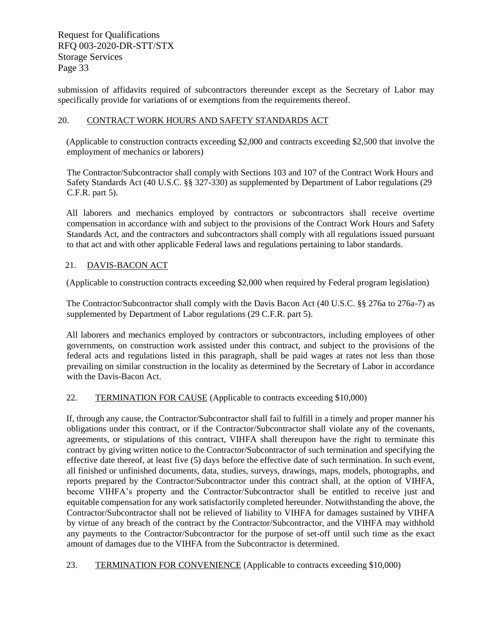submission of affidavits required of subcontractors thereunder except as the Secretary of Labor may specifically provide for variations of or exemptions from the requirements thereof.

#### 20. CONTRACT WORK HOURS AND SAFETY STANDARDS ACT

(Applicable to construction contracts exceeding \$2,000 and contracts exceeding \$2,500 that involve the employment of mechanics or laborers)

The Contractor/Subcontractor shall comply with Sections 103 and 107 of the Contract Work Hours and Safety Standards Act (40 U.S.C. §§ 327-330) as supplemented by Department of Labor regulations (29 C.F.R. part 5).

All laborers and mechanics employed by contractors or subcontractors shall receive overtime compensation in accordance with and subject to the provisions of the Contract Work Hours and Safety Standards Act, and the contractors and subcontractors shall comply with all regulations issued pursuant to that act and with other applicable Federal laws and regulations pertaining to labor standards.

#### 21. DAVIS-BACON ACT

(Applicable to construction contracts exceeding \$2,000 when required by Federal program legislation)

The Contractor/Subcontractor shall comply with the Davis Bacon Act (40 U.S.C. §§ 276a to 276a-7) as supplemented by Department of Labor regulations (29 C.F.R. part 5).

All laborers and mechanics employed by contractors or subcontractors, including employees of other governments, on construction work assisted under this contract, and subject to the provisions of the federal acts and regulations listed in this paragraph, shall be paid wages at rates not less than those prevailing on similar construction in the locality as determined by the Secretary of Labor in accordance with the Davis-Bacon Act.

#### 22. TERMINATION FOR CAUSE (Applicable to contracts exceeding \$10,000)

If, through any cause, the Contractor/Subcontractor shall fail to fulfill in a timely and proper manner his obligations under this contract, or if the Contractor/Subcontractor shall violate any of the covenants, agreements, or stipulations of this contract, VIHFA shall thereupon have the right to terminate this contract by giving written notice to the Contractor/Subcontractor of such termination and specifying the effective date thereof, at least five (5) days before the effective date of such termination. In such event, all finished or unfinished documents, data, studies, surveys, drawings, maps, models, photographs, and reports prepared by the Contractor/Subcontractor under this contract shall, at the option of VIHFA, become VIHFA's property and the Contractor/Subcontractor shall be entitled to receive just and equitable compensation for any work satisfactorily completed hereunder. Notwithstanding the above, the Contractor/Subcontractor shall not be relieved of liability to VIHFA for damages sustained by VIHFA by virtue of any breach of the contract by the Contractor/Subcontractor, and the VIHFA may withhold any payments to the Contractor/Subcontractor for the purpose of set-off until such time as the exact amount of damages due to the VIHFA from the Subcontractor is determined.

23. TERMINATION FOR CONVENIENCE (Applicable to contracts exceeding \$10,000)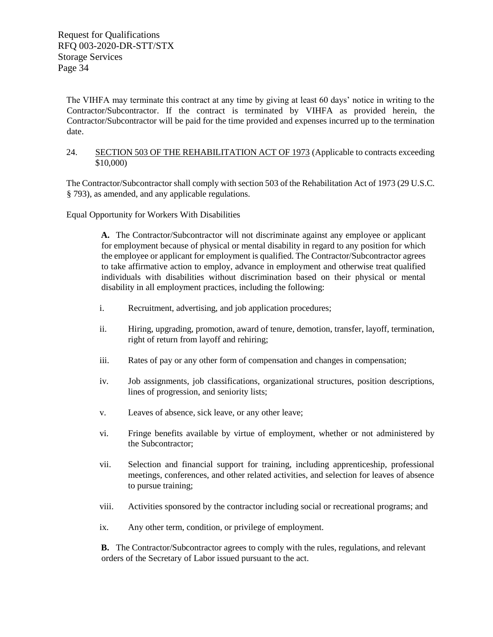The VIHFA may terminate this contract at any time by giving at least 60 days' notice in writing to the Contractor/Subcontractor. If the contract is terminated by VIHFA as provided herein, the Contractor/Subcontractor will be paid for the time provided and expenses incurred up to the termination date.

#### 24. SECTION 503 OF THE REHABILITATION ACT OF 1973 (Applicable to contracts exceeding \$10,000)

The Contractor/Subcontractor shall comply with section 503 of the Rehabilitation Act of 1973 (29 U.S.C. § 793), as amended, and any applicable regulations.

Equal Opportunity for Workers With Disabilities

**A.** The Contractor/Subcontractor will not discriminate against any employee or applicant for employment because of physical or mental disability in regard to any position for which the employee or applicant for employment is qualified. The Contractor/Subcontractor agrees to take affirmative action to employ, advance in employment and otherwise treat qualified individuals with disabilities without discrimination based on their physical or mental disability in all employment practices, including the following:

- i. Recruitment, advertising, and job application procedures;
- ii. Hiring, upgrading, promotion, award of tenure, demotion, transfer, layoff, termination, right of return from layoff and rehiring;
- iii. Rates of pay or any other form of compensation and changes in compensation;
- iv. Job assignments, job classifications, organizational structures, position descriptions, lines of progression, and seniority lists;
- v. Leaves of absence, sick leave, or any other leave;
- vi. Fringe benefits available by virtue of employment, whether or not administered by the Subcontractor;
- vii. Selection and financial support for training, including apprenticeship, professional meetings, conferences, and other related activities, and selection for leaves of absence to pursue training;
- viii. Activities sponsored by the contractor including social or recreational programs; and
- ix. Any other term, condition, or privilege of employment.

**B.** The Contractor/Subcontractor agrees to comply with the rules, regulations, and relevant orders of the Secretary of Labor issued pursuant to the act.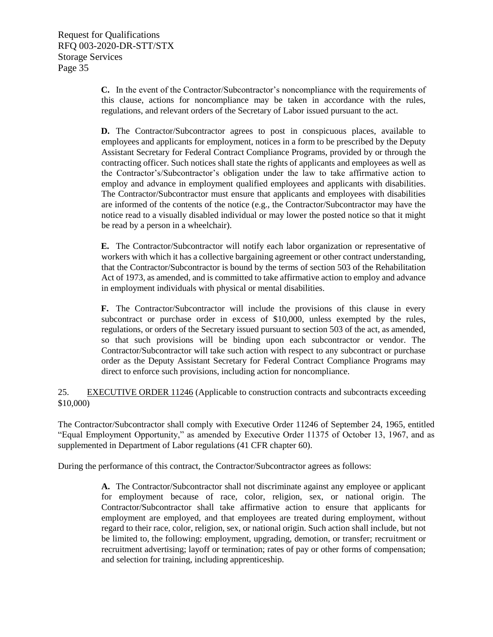**C.** In the event of the Contractor/Subcontractor's noncompliance with the requirements of this clause, actions for noncompliance may be taken in accordance with the rules, regulations, and relevant orders of the Secretary of Labor issued pursuant to the act.

**D.** The Contractor/Subcontractor agrees to post in conspicuous places, available to employees and applicants for employment, notices in a form to be prescribed by the Deputy Assistant Secretary for Federal Contract Compliance Programs, provided by or through the contracting officer. Such notices shall state the rights of applicants and employees as well as the Contractor's/Subcontractor's obligation under the law to take affirmative action to employ and advance in employment qualified employees and applicants with disabilities. The Contractor/Subcontractor must ensure that applicants and employees with disabilities are informed of the contents of the notice (e.g., the Contractor/Subcontractor may have the notice read to a visually disabled individual or may lower the posted notice so that it might be read by a person in a wheelchair).

**E.** The Contractor/Subcontractor will notify each labor organization or representative of workers with which it has a collective bargaining agreement or other contract understanding, that the Contractor/Subcontractor is bound by the terms of section 503 of the Rehabilitation Act of 1973, as amended, and is committed to take affirmative action to employ and advance in employment individuals with physical or mental disabilities.

**F.** The Contractor/Subcontractor will include the provisions of this clause in every subcontract or purchase order in excess of \$10,000, unless exempted by the rules, regulations, or orders of the Secretary issued pursuant to section 503 of the act, as amended, so that such provisions will be binding upon each subcontractor or vendor. The Contractor/Subcontractor will take such action with respect to any subcontract or purchase order as the Deputy Assistant Secretary for Federal Contract Compliance Programs may direct to enforce such provisions, including action for noncompliance.

25. EXECUTIVE ORDER 11246 (Applicable to construction contracts and subcontracts exceeding \$10,000)

The Contractor/Subcontractor shall comply with Executive Order 11246 of September 24, 1965, entitled "Equal Employment Opportunity," as amended by Executive Order 11375 of October 13, 1967, and as supplemented in Department of Labor regulations (41 CFR chapter 60).

During the performance of this contract, the Contractor/Subcontractor agrees as follows:

**A.** The Contractor/Subcontractor shall not discriminate against any employee or applicant for employment because of race, color, religion, sex, or national origin. The Contractor/Subcontractor shall take affirmative action to ensure that applicants for employment are employed, and that employees are treated during employment, without regard to their race, color, religion, sex, or national origin. Such action shall include, but not be limited to, the following: employment, upgrading, demotion, or transfer; recruitment or recruitment advertising; layoff or termination; rates of pay or other forms of compensation; and selection for training, including apprenticeship.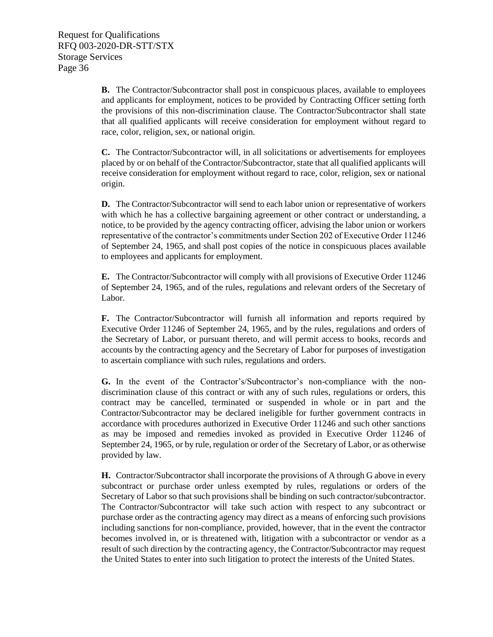**B.** The Contractor/Subcontractor shall post in conspicuous places, available to employees and applicants for employment, notices to be provided by Contracting Officer setting forth the provisions of this non-discrimination clause. The Contractor/Subcontractor shall state that all qualified applicants will receive consideration for employment without regard to race, color, religion, sex, or national origin.

**C.** The Contractor/Subcontractor will, in all solicitations or advertisements for employees placed by or on behalf of the Contractor/Subcontractor, state that all qualified applicants will receive consideration for employment without regard to race, color, religion, sex or national origin.

**D.** The Contractor/Subcontractor will send to each labor union or representative of workers with which he has a collective bargaining agreement or other contract or understanding, a notice, to be provided by the agency contracting officer, advising the labor union or workers representative of the contractor's commitments under Section 202 of Executive Order 11246 of September 24, 1965, and shall post copies of the notice in conspicuous places available to employees and applicants for employment.

**E.** The Contractor/Subcontractor will comply with all provisions of Executive Order 11246 of September 24, 1965, and of the rules, regulations and relevant orders of the Secretary of Labor.

**F.** The Contractor/Subcontractor will furnish all information and reports required by Executive Order 11246 of September 24, 1965, and by the rules, regulations and orders of the Secretary of Labor, or pursuant thereto, and will permit access to books, records and accounts by the contracting agency and the Secretary of Labor for purposes of investigation to ascertain compliance with such rules, regulations and orders.

**G.** In the event of the Contractor's/Subcontractor's non-compliance with the nondiscrimination clause of this contract or with any of such rules, regulations or orders, this contract may be cancelled, terminated or suspended in whole or in part and the Contractor/Subcontractor may be declared ineligible for further government contracts in accordance with procedures authorized in Executive Order 11246 and such other sanctions as may be imposed and remedies invoked as provided in Executive Order 11246 of September 24, 1965, or by rule, regulation or order of the Secretary of Labor, or as otherwise provided by law.

**H.** Contractor/Subcontractor shall incorporate the provisions of A through G above in every subcontract or purchase order unless exempted by rules, regulations or orders of the Secretary of Labor so that such provisions shall be binding on such contractor/subcontractor. The Contractor/Subcontractor will take such action with respect to any subcontract or purchase order as the contracting agency may direct as a means of enforcing such provisions including sanctions for non-compliance, provided, however, that in the event the contractor becomes involved in, or is threatened with, litigation with a subcontractor or vendor as a result of such direction by the contracting agency, the Contractor/Subcontractor may request the United States to enter into such litigation to protect the interests of the United States.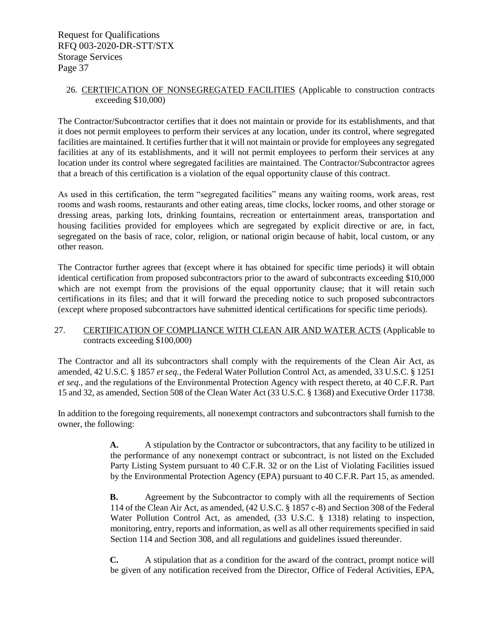#### 26. CERTIFICATION OF NONSEGREGATED FACILITIES (Applicable to construction contracts exceeding \$10,000)

The Contractor/Subcontractor certifies that it does not maintain or provide for its establishments, and that it does not permit employees to perform their services at any location, under its control, where segregated facilities are maintained. It certifies further that it will not maintain or provide for employees any segregated facilities at any of its establishments, and it will not permit employees to perform their services at any location under its control where segregated facilities are maintained. The Contractor/Subcontractor agrees that a breach of this certification is a violation of the equal opportunity clause of this contract.

As used in this certification, the term "segregated facilities" means any waiting rooms, work areas, rest rooms and wash rooms, restaurants and other eating areas, time clocks, locker rooms, and other storage or dressing areas, parking lots, drinking fountains, recreation or entertainment areas, transportation and housing facilities provided for employees which are segregated by explicit directive or are, in fact, segregated on the basis of race, color, religion, or national origin because of habit, local custom, or any other reason.

The Contractor further agrees that (except where it has obtained for specific time periods) it will obtain identical certification from proposed subcontractors prior to the award of subcontracts exceeding \$10,000 which are not exempt from the provisions of the equal opportunity clause; that it will retain such certifications in its files; and that it will forward the preceding notice to such proposed subcontractors (except where proposed subcontractors have submitted identical certifications for specific time periods).

#### 27. CERTIFICATION OF COMPLIANCE WITH CLEAN AIR AND WATER ACTS (Applicable to contracts exceeding \$100,000)

The Contractor and all its subcontractors shall comply with the requirements of the Clean Air Act, as amended, 42 U.S.C. § 1857 *et seq.*, the Federal Water Pollution Control Act, as amended, 33 U.S.C. § 1251 *et seq.*, and the regulations of the Environmental Protection Agency with respect thereto, at 40 C.F.R. Part 15 and 32, as amended, Section 508 of the Clean Water Act (33 U.S.C. § 1368) and Executive Order 11738.

In addition to the foregoing requirements, all nonexempt contractors and subcontractors shall furnish to the owner, the following:

> **A.** A stipulation by the Contractor or subcontractors, that any facility to be utilized in the performance of any nonexempt contract or subcontract, is not listed on the Excluded Party Listing System pursuant to 40 C.F.R. 32 or on the List of Violating Facilities issued by the Environmental Protection Agency (EPA) pursuant to 40 C.F.R. Part 15, as amended.

> **B.** Agreement by the Subcontractor to comply with all the requirements of Section 114 of the Clean Air Act, as amended, (42 U.S.C. § 1857 c-8) and Section 308 of the Federal Water Pollution Control Act, as amended, (33 U.S.C. § 1318) relating to inspection, monitoring, entry, reports and information, as well as all other requirements specified in said Section 114 and Section 308, and all regulations and guidelines issued thereunder.

> **C.** A stipulation that as a condition for the award of the contract, prompt notice will be given of any notification received from the Director, Office of Federal Activities, EPA,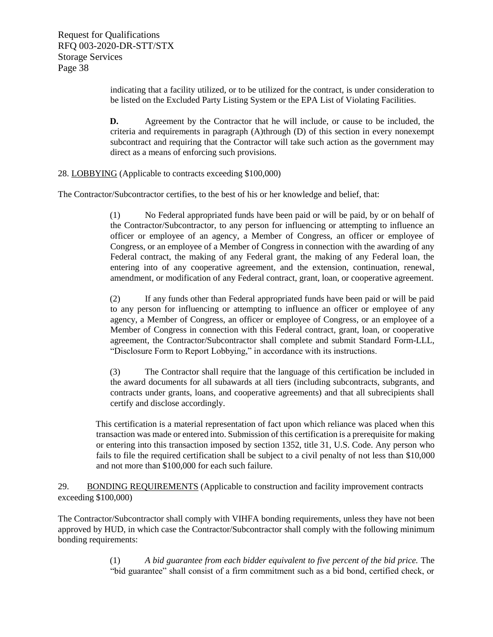indicating that a facility utilized, or to be utilized for the contract, is under consideration to be listed on the Excluded Party Listing System or the EPA List of Violating Facilities.

**D.** Agreement by the Contractor that he will include, or cause to be included, the criteria and requirements in paragraph (A)through (D) of this section in every nonexempt subcontract and requiring that the Contractor will take such action as the government may direct as a means of enforcing such provisions.

#### 28. LOBBYING (Applicable to contracts exceeding \$100,000)

The Contractor/Subcontractor certifies, to the best of his or her knowledge and belief, that:

(1) No Federal appropriated funds have been paid or will be paid, by or on behalf of the Contractor/Subcontractor, to any person for influencing or attempting to influence an officer or employee of an agency, a Member of Congress, an officer or employee of Congress, or an employee of a Member of Congress in connection with the awarding of any Federal contract, the making of any Federal grant, the making of any Federal loan, the entering into of any cooperative agreement, and the extension, continuation, renewal, amendment, or modification of any Federal contract, grant, loan, or cooperative agreement.

(2) If any funds other than Federal appropriated funds have been paid or will be paid to any person for influencing or attempting to influence an officer or employee of any agency, a Member of Congress, an officer or employee of Congress, or an employee of a Member of Congress in connection with this Federal contract, grant, loan, or cooperative agreement, the Contractor/Subcontractor shall complete and submit Standard Form-LLL, "Disclosure Form to Report Lobbying," in accordance with its instructions.

(3) The Contractor shall require that the language of this certification be included in the award documents for all subawards at all tiers (including subcontracts, subgrants, and contracts under grants, loans, and cooperative agreements) and that all subrecipients shall certify and disclose accordingly.

This certification is a material representation of fact upon which reliance was placed when this transaction was made or entered into. Submission of this certification is a prerequisite for making or entering into this transaction imposed by section 1352, title 31, U.S. Code. Any person who fails to file the required certification shall be subject to a civil penalty of not less than \$10,000 and not more than \$100,000 for each such failure.

29. BONDING REQUIREMENTS (Applicable to construction and facility improvement contracts exceeding \$100,000)

The Contractor/Subcontractor shall comply with VIHFA bonding requirements, unless they have not been approved by HUD, in which case the Contractor/Subcontractor shall comply with the following minimum bonding requirements:

> (1) *A bid guarantee from each bidder equivalent to five percent of the bid price.* The "bid guarantee" shall consist of a firm commitment such as a bid bond, certified check, or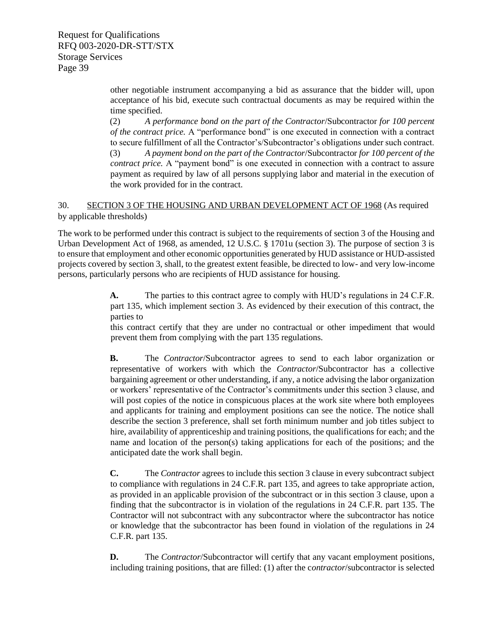> other negotiable instrument accompanying a bid as assurance that the bidder will, upon acceptance of his bid, execute such contractual documents as may be required within the time specified.

> (2) *A performance bond on the part of the Contractor*/Subcontractor *for 100 percent of the contract price.* A "performance bond" is one executed in connection with a contract to secure fulfillment of all the Contractor's/Subcontractor's obligations under such contract. (3) *A payment bond on the part of the Contractor*/Subcontractor *for 100 percent of the contract price.* A "payment bond" is one executed in connection with a contract to assure payment as required by law of all persons supplying labor and material in the execution of

30. SECTION 3 OF THE HOUSING AND URBAN DEVELOPMENT ACT OF 1968 (As required by applicable thresholds)

the work provided for in the contract.

The work to be performed under this contract is subject to the requirements of section 3 of the Housing and Urban Development Act of 1968, as amended, 12 U.S.C. § 1701u (section 3). The purpose of section 3 is to ensure that employment and other economic opportunities generated by HUD assistance or HUD-assisted projects covered by section 3, shall, to the greatest extent feasible, be directed to low- and very low-income persons, particularly persons who are recipients of HUD assistance for housing.

> **A.** The parties to this contract agree to comply with HUD's regulations in 24 C.F.R. part 135, which implement section 3. As evidenced by their execution of this contract, the parties to

> this contract certify that they are under no contractual or other impediment that would prevent them from complying with the part 135 regulations.

> **B.** The *Contractor*/Subcontractor agrees to send to each labor organization or representative of workers with which the *Contractor*/Subcontractor has a collective bargaining agreement or other understanding, if any, a notice advising the labor organization or workers' representative of the Contractor's commitments under this section 3 clause, and will post copies of the notice in conspicuous places at the work site where both employees and applicants for training and employment positions can see the notice. The notice shall describe the section 3 preference, shall set forth minimum number and job titles subject to hire, availability of apprenticeship and training positions, the qualifications for each; and the name and location of the person(s) taking applications for each of the positions; and the anticipated date the work shall begin.

> **C.** The *Contractor* agrees to include this section 3 clause in every subcontract subject to compliance with regulations in 24 C.F.R. part 135, and agrees to take appropriate action, as provided in an applicable provision of the subcontract or in this section 3 clause, upon a finding that the subcontractor is in violation of the regulations in 24 C.F.R. part 135. The Contractor will not subcontract with any subcontractor where the subcontractor has notice or knowledge that the subcontractor has been found in violation of the regulations in 24 C.F.R. part 135.

> **D.** The *Contractor*/Subcontractor will certify that any vacant employment positions, including training positions, that are filled: (1) after the c*ontractor*/subcontractor is selected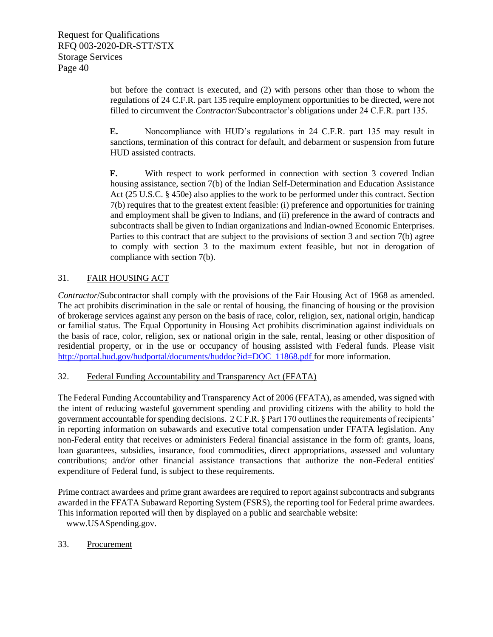but before the contract is executed, and (2) with persons other than those to whom the regulations of 24 C.F.R. part 135 require employment opportunities to be directed, were not filled to circumvent the *Contractor*/Subcontractor's obligations under 24 C.F.R. part 135.

**E.** Noncompliance with HUD's regulations in 24 C.F.R. part 135 may result in sanctions, termination of this contract for default, and debarment or suspension from future HUD assisted contracts.

**F.** With respect to work performed in connection with section 3 covered Indian housing assistance, section 7(b) of the Indian Self-Determination and Education Assistance Act (25 U.S.C. § 450e) also applies to the work to be performed under this contract. Section 7(b) requires that to the greatest extent feasible: (i) preference and opportunities for training and employment shall be given to Indians, and (ii) preference in the award of contracts and subcontracts shall be given to Indian organizations and Indian-owned Economic Enterprises. Parties to this contract that are subject to the provisions of section 3 and section 7(b) agree to comply with section 3 to the maximum extent feasible, but not in derogation of compliance with section 7(b).

#### 31. FAIR HOUSING ACT

*Contractor*/Subcontractor shall comply with the provisions of the Fair Housing Act of 1968 as amended. The act prohibits discrimination in the sale or rental of housing, the financing of housing or the provision of brokerage services against any person on the basis of race, color, religion, sex, national origin, handicap or familial status. The Equal Opportunity in Housing Act prohibits discrimination against individuals on the basis of race, color, religion, sex or national origin in the sale, rental, leasing or other disposition of residential property, or in the use or occupancy of housing assisted with Federal funds. Please visit [http://portal.hud.gov/hudportal/documents/huddoc?id=DOC\\_11868.pdf fo](http://portal.hud.gov/hudportal/documents/huddoc?id=DOC_11868.pdf%20)r more information.

#### 32. Federal Funding Accountability and Transparency Act (FFATA)

The Federal Funding Accountability and Transparency Act of 2006 (FFATA), as amended, was signed with the intent of reducing wasteful government spending and providing citizens with the ability to hold the government accountable for spending decisions. 2 C.F.R. § Part 170 outlines the requirements of recipients' in reporting information on subawards and executive total compensation under FFATA legislation. Any non-Federal entity that receives or administers Federal financial assistance in the form of: grants, loans, loan guarantees, subsidies, insurance, food commodities, direct appropriations, assessed and voluntary contributions; and/or other financial assistance transactions that authorize the non-Federal entities' expenditure of Federal fund, is subject to these requirements.

Prime contract awardees and prime grant awardees are required to report against subcontracts and subgrants awarded in the FFATA Subaward Reporting System (FSRS), the reporting tool for Federal prime awardees. This information reported will then by displayed on a public and searchable website:

[www.USASpending.gov.](http://www.usaspending.gov/)

#### 33. Procurement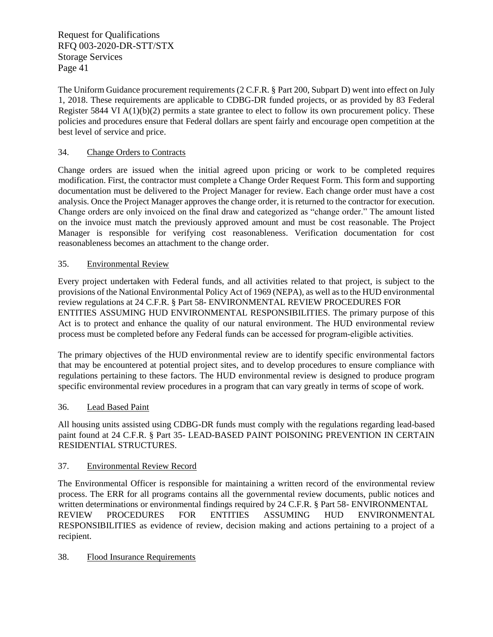The Uniform Guidance procurement requirements (2 C.F.R. § Part 200, Subpart D) went into effect on July 1, 2018. These requirements are applicable to CDBG-DR funded projects, or as provided by 83 Federal Register 5844 VI A(1)(b)(2) permits a state grantee to elect to follow its own procurement policy. These policies and procedures ensure that Federal dollars are spent fairly and encourage open competition at the best level of service and price.

### 34. Change Orders to Contracts

Change orders are issued when the initial agreed upon pricing or work to be completed requires modification. First, the contractor must complete a Change Order Request Form. This form and supporting documentation must be delivered to the Project Manager for review. Each change order must have a cost analysis. Once the Project Manager approves the change order, it is returned to the contractor for execution. Change orders are only invoiced on the final draw and categorized as "change order." The amount listed on the invoice must match the previously approved amount and must be cost reasonable. The Project Manager is responsible for verifying cost reasonableness. Verification documentation for cost reasonableness becomes an attachment to the change order.

#### 35. Environmental Review

Every project undertaken with Federal funds, and all activities related to that project, is subject to the provisions of the National Environmental Policy Act of 1969 (NEPA), as well as to the HUD environmental review regulations at 24 C.F.R. § Part 58- ENVIRONMENTAL REVIEW PROCEDURES FOR ENTITIES ASSUMING HUD ENVIRONMENTAL RESPONSIBILITIES. The primary purpose of this Act is to protect and enhance the quality of our natural environment. The HUD environmental review process must be completed before any Federal funds can be accessed for program‐eligible activities.

The primary objectives of the HUD environmental review are to identify specific environmental factors that may be encountered at potential project sites, and to develop procedures to ensure compliance with regulations pertaining to these factors. The HUD environmental review is designed to produce program specific environmental review procedures in a program that can vary greatly in terms of scope of work.

#### 36. Lead Based Paint

All housing units assisted using CDBG-DR funds must comply with the regulations regarding lead-based paint found at 24 C.F.R. § Part 35- LEAD-BASED PAINT POISONING PREVENTION IN CERTAIN RESIDENTIAL STRUCTURES.

#### 37. Environmental Review Record

The Environmental Officer is responsible for maintaining a written record of the environmental review process. The ERR for all programs contains all the governmental review documents, public notices and written determinations or environmental findings required by 24 C.F.R. § Part 58- ENVIRONMENTAL REVIEW PROCEDURES FOR ENTITIES ASSUMING HUD ENVIRONMENTAL RESPONSIBILITIES as evidence of review, decision making and actions pertaining to a project of a recipient.

#### 38. Flood Insurance Requirements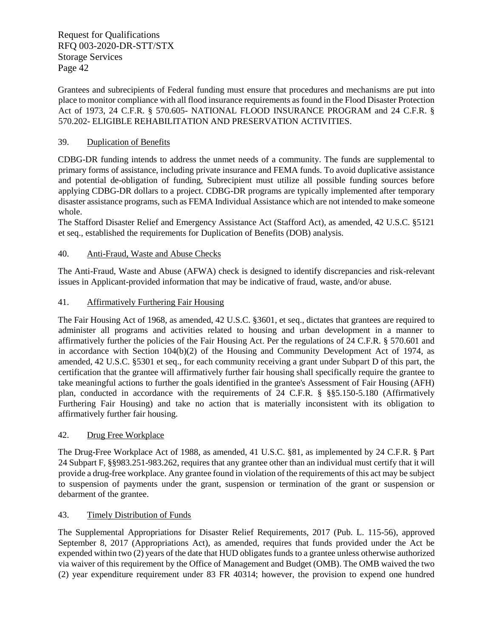Grantees and subrecipients of Federal funding must ensure that procedures and mechanisms are put into place to monitor compliance with all flood insurance requirements as found in the Flood Disaster Protection Act of 1973, 24 C.F.R. § 570.605- NATIONAL FLOOD INSURANCE PROGRAM and 24 C.F.R. § 570.202- ELIGIBLE REHABILITATION AND PRESERVATION ACTIVITIES.

#### 39. Duplication of Benefits

CDBG-DR funding intends to address the unmet needs of a community. The funds are supplemental to primary forms of assistance, including private insurance and FEMA funds. To avoid duplicative assistance and potential de-obligation of funding, Subrecipient must utilize all possible funding sources before applying CDBG-DR dollars to a project. CDBG-DR programs are typically implemented after temporary disaster assistance programs, such as FEMA Individual Assistance which are not intended to make someone whole.

The Stafford Disaster Relief and Emergency Assistance Act (Stafford Act), as amended, 42 U.S.C. §5121 et seq., established the requirements for Duplication of Benefits (DOB) analysis.

#### 40. Anti-Fraud, Waste and Abuse Checks

The Anti-Fraud, Waste and Abuse (AFWA) check is designed to identify discrepancies and risk-relevant issues in Applicant-provided information that may be indicative of fraud, waste, and/or abuse.

#### 41. Affirmatively Furthering Fair Housing

The Fair Housing Act of 1968, as amended, 42 U.S.C. §3601, et seq., dictates that grantees are required to administer all programs and activities related to housing and urban development in a manner to affirmatively further the policies of the Fair Housing Act. Per the regulations of 24 C.F.R. § 570.601 and in accordance with Section 104(b)(2) of the Housing and Community Development Act of 1974, as amended, 42 U.S.C. §5301 et seq., for each community receiving a grant under Subpart D of this part, the certification that the grantee will affirmatively further fair housing shall specifically require the grantee to take meaningful actions to further the goals identified in the grantee's Assessment of Fair Housing (AFH) plan, conducted in accordance with the requirements of 24 C.F.R. § §§5.150-5.180 (Affirmatively Furthering Fair Housing) and take no action that is materially inconsistent with its obligation to affirmatively further fair housing.

#### 42. Drug Free Workplace

The Drug-Free Workplace Act of 1988, as amended, 41 U.S.C. §81, as implemented by 24 C.F.R. § Part 24 Subpart F, §§983.251-983.262, requires that any grantee other than an individual must certify that it will provide a drug-free workplace. Any grantee found in violation of the requirements of this act may be subject to suspension of payments under the grant, suspension or termination of the grant or suspension or debarment of the grantee.

#### 43. Timely Distribution of Funds

The Supplemental Appropriations for Disaster Relief Requirements, 2017 (Pub. L. 115-56), approved September 8, 2017 (Appropriations Act), as amended, requires that funds provided under the Act be expended within two (2) years of the date that HUD obligates funds to a grantee unless otherwise authorized via waiver of this requirement by the Office of Management and Budget (OMB). The OMB waived the two (2) year expenditure requirement under 83 FR 40314; however, the provision to expend one hundred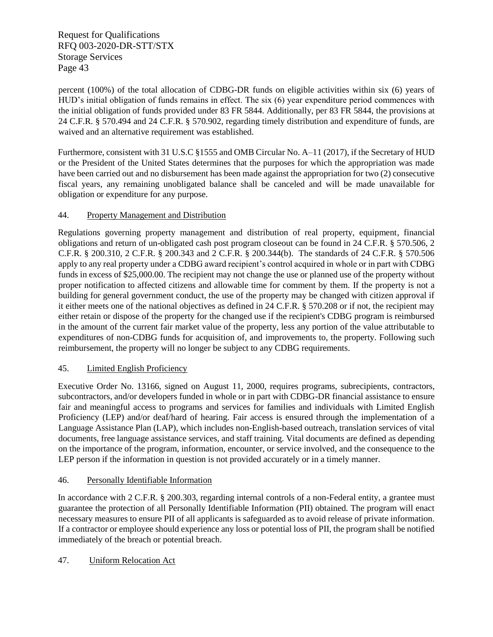percent (100%) of the total allocation of CDBG-DR funds on eligible activities within six (6) years of HUD's initial obligation of funds remains in effect. The six (6) year expenditure period commences with the initial obligation of funds provided under 83 FR 5844. Additionally, per 83 FR 5844, the provisions at 24 C.F.R. § 570.494 and 24 C.F.R. § 570.902, regarding timely distribution and expenditure of funds, are waived and an alternative requirement was established.

Furthermore, consistent with 31 U.S.C §1555 and OMB Circular No. A–11 (2017), if the Secretary of HUD or the President of the United States determines that the purposes for which the appropriation was made have been carried out and no disbursement has been made against the appropriation for two (2) consecutive fiscal years, any remaining unobligated balance shall be canceled and will be made unavailable for obligation or expenditure for any purpose.

#### 44. Property Management and Distribution

Regulations governing property management and distribution of real property, equipment, financial obligations and return of un-obligated cash post program closeout can be found in 24 C.F.R. § 570.506, 2 C.F.R. § 200.310, 2 C.F.R. § 200.343 and 2 C.F.R. § 200.344(b). The standards of 24 C.F.R. § 570.506 apply to any real property under a CDBG award recipient's control acquired in whole or in part with CDBG funds in excess of \$25,000.00. The recipient may not change the use or planned use of the property without proper notification to affected citizens and allowable time for comment by them. If the property is not a building for general government conduct, the use of the property may be changed with citizen approval if it either meets one of the national objectives as defined in 24 C.F.R. § 570.208 or if not, the recipient may either retain or dispose of the property for the changed use if the recipient's CDBG program is reimbursed in the amount of the current fair market value of the property, less any portion of the value attributable to expenditures of non-CDBG funds for acquisition of, and improvements to, the property. Following such reimbursement, the property will no longer be subject to any CDBG requirements.

#### 45. Limited English Proficiency

Executive Order No. 13166, signed on August 11, 2000, requires programs, subrecipients, contractors, subcontractors, and/or developers funded in whole or in part with CDBG-DR financial assistance to ensure fair and meaningful access to programs and services for families and individuals with Limited English Proficiency (LEP) and/or deaf/hard of hearing. Fair access is ensured through the implementation of a Language Assistance Plan (LAP), which includes non-English-based outreach, translation services of vital documents, free language assistance services, and staff training. Vital documents are defined as depending on the importance of the program, information, encounter, or service involved, and the consequence to the LEP person if the information in question is not provided accurately or in a timely manner.

#### 46. Personally Identifiable Information

In accordance with 2 C.F.R. § 200.303, regarding internal controls of a non-Federal entity, a grantee must guarantee the protection of all Personally Identifiable Information (PII) obtained. The program will enact necessary measures to ensure PII of all applicants is safeguarded as to avoid release of private information. If a contractor or employee should experience any loss or potential loss of PII, the program shall be notified immediately of the breach or potential breach.

#### 47. Uniform Relocation Act